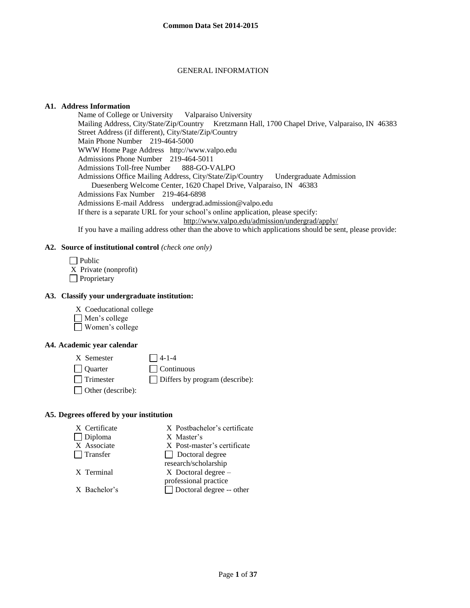#### GENERAL INFORMATION

#### **A1. Address Information**

Name of College or University Valparaiso University Mailing Address, City/State/Zip/Country Kretzmann Hall, 1700 Chapel Drive, Valparaiso, IN 46383 Street Address (if different), City/State/Zip/Country Main Phone Number 219-464-5000 WWW Home Page Address http://www.valpo.edu Admissions Phone Number 219-464-5011 Admissions Toll-free Number 888-GO-VALPO Admissions Office Mailing Address, City/State/Zip/Country Undergraduate Admission Duesenberg Welcome Center, 1620 Chapel Drive, Valparaiso, IN 46383 Admissions Fax Number 219-464-6898 Admissions E-mail Address undergrad.admission@valpo.edu If there is a separate URL for your school's online application, please specify: <http://www.valpo.edu/admission/undergrad/apply/> If you have a mailing address other than the above to which applications should be sent, please provide:

#### **A2. Source of institutional control** *(check one only)*

 $\Box$  Public X Private (nonprofit) **Proprietary** 

### **A3. Classify your undergraduate institution:**

X Coeducational college

- Men's college
- Women's college

#### **A4. Academic year calendar**

 $X$  Semester  $\bigcap$  4-1-4 Quarter Continuous  $\Box$  Trimester  $\Box$  Differs by program (describe): □ Other (describe):

#### **A5. Degrees offered by your institution**

| X Certificate   | X Postbachelor's certificate    |
|-----------------|---------------------------------|
| $\Box$ Diploma  | X Master's                      |
| X Associate     | X Post-master's certificate     |
| $\Box$ Transfer | $\Box$ Doctoral degree          |
|                 | research/scholarship            |
| X Terminal      | $X$ Doctoral degree $-$         |
|                 | professional practice           |
| X Bachelor's    | $\Box$ Doctoral degree -- other |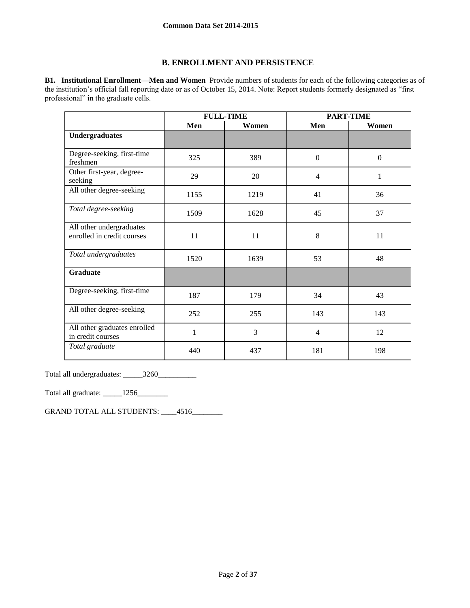## **B. ENROLLMENT AND PERSISTENCE**

**B1. Institutional Enrollment—Men and Women** Provide numbers of students for each of the following categories as of the institution's official fall reporting date or as of October 15, 2014. Note: Report students formerly designated as "first professional" in the graduate cells.

|                                                        | <b>FULL-TIME</b> |       | <b>PART-TIME</b> |              |
|--------------------------------------------------------|------------------|-------|------------------|--------------|
|                                                        | Men              | Women | Men              | Women        |
| <b>Undergraduates</b>                                  |                  |       |                  |              |
| Degree-seeking, first-time<br>freshmen                 | 325              | 389   | $\mathbf{0}$     | $\mathbf{0}$ |
| Other first-year, degree-<br>seeking                   | 29               | 20    | 4                | 1            |
| All other degree-seeking                               | 1155             | 1219  | 41               | 36           |
| Total degree-seeking                                   | 1509             | 1628  | 45               | 37           |
| All other undergraduates<br>enrolled in credit courses | 11               | 11    | 8                | 11           |
| Total undergraduates                                   | 1520             | 1639  | 53               | 48           |
| <b>Graduate</b>                                        |                  |       |                  |              |
| Degree-seeking, first-time                             | 187              | 179   | 34               | 43           |
| All other degree-seeking                               | 252              | 255   | 143              | 143          |
| All other graduates enrolled<br>in credit courses      | 1                | 3     | $\overline{4}$   | 12           |
| Total graduate                                         | 440              | 437   | 181              | 198          |

Total all undergraduates: \_\_\_\_\_3260\_\_\_\_\_\_\_\_\_\_

Total all graduate: \_\_\_\_\_1256\_\_\_\_\_\_\_\_

GRAND TOTAL ALL STUDENTS: \_\_\_\_4516\_\_\_\_\_\_\_\_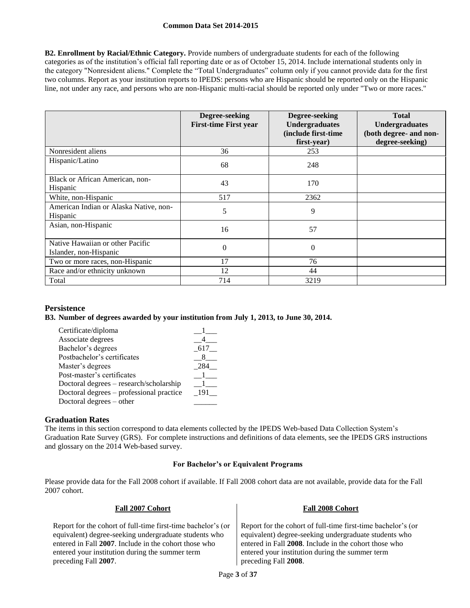**B2. Enrollment by Racial/Ethnic Category.** Provide numbers of undergraduate students for each of the following categories as of the institution's official fall reporting date or as of October 15, 2014. Include international students only in the category "Nonresident aliens." Complete the "Total Undergraduates" column only if you cannot provide data for the first two columns. Report as your institution reports to IPEDS: persons who are Hispanic should be reported only on the Hispanic line, not under any race, and persons who are non-Hispanic multi-racial should be reported only under "Two or more races."

|                                                            | Degree-seeking<br><b>First-time First year</b> | Degree-seeking<br><b>Undergraduates</b><br>(include first-time<br>first-year) | <b>Total</b><br><b>Undergraduates</b><br>(both degree- and non-<br>degree-seeking) |
|------------------------------------------------------------|------------------------------------------------|-------------------------------------------------------------------------------|------------------------------------------------------------------------------------|
| Nonresident aliens                                         | 36                                             | 253                                                                           |                                                                                    |
| Hispanic/Latino                                            | 68                                             | 248                                                                           |                                                                                    |
| Black or African American, non-<br>Hispanic                | 43                                             | 170                                                                           |                                                                                    |
| White, non-Hispanic                                        | 517                                            | 2362                                                                          |                                                                                    |
| American Indian or Alaska Native, non-<br>Hispanic         | 5                                              | 9                                                                             |                                                                                    |
| Asian, non-Hispanic                                        | 16                                             | 57                                                                            |                                                                                    |
| Native Hawaiian or other Pacific<br>Islander, non-Hispanic | $\theta$                                       | $\overline{0}$                                                                |                                                                                    |
| Two or more races, non-Hispanic                            | 17                                             | 76                                                                            |                                                                                    |
| Race and/or ethnicity unknown                              | 12                                             | 44                                                                            |                                                                                    |
| Total                                                      | 714                                            | 3219                                                                          |                                                                                    |

## **Persistence**

#### **B3. Number of degrees awarded by your institution from July 1, 2013, to June 30, 2014.**

| Certificate/diploma                      |      |
|------------------------------------------|------|
| Associate degrees                        |      |
| Bachelor's degrees                       | -617 |
| Postbachelor's certificates              |      |
| Master's degrees                         | 284  |
| Post-master's certificates               |      |
| Doctoral degrees - research/scholarship  |      |
| Doctoral degrees – professional practice | 191  |
| Doctoral degrees – other                 |      |

## **Graduation Rates**

The items in this section correspond to data elements collected by the IPEDS Web-based Data Collection System's Graduation Rate Survey (GRS). For complete instructions and definitions of data elements, see the IPEDS GRS instructions and glossary on the 2014 Web-based survey.

### **For Bachelor's or Equivalent Programs**

Please provide data for the Fall 2008 cohort if available. If Fall 2008 cohort data are not available, provide data for the Fall 2007 cohort.

| Fall 2007 Cohort                                             | <b>Fall 2008 Cohort</b>                                      |
|--------------------------------------------------------------|--------------------------------------------------------------|
| Report for the cohort of full-time first-time bachelor's (or | Report for the cohort of full-time first-time bachelor's (or |
| equivalent) degree-seeking undergraduate students who        | equivalent) degree-seeking undergraduate students who        |
| entered in Fall 2007. Include in the cohort those who        | entered in Fall 2008. Include in the cohort those who        |
| entered your institution during the summer term              | entered your institution during the summer term              |
| preceding Fall 2007.                                         | preceding Fall 2008.                                         |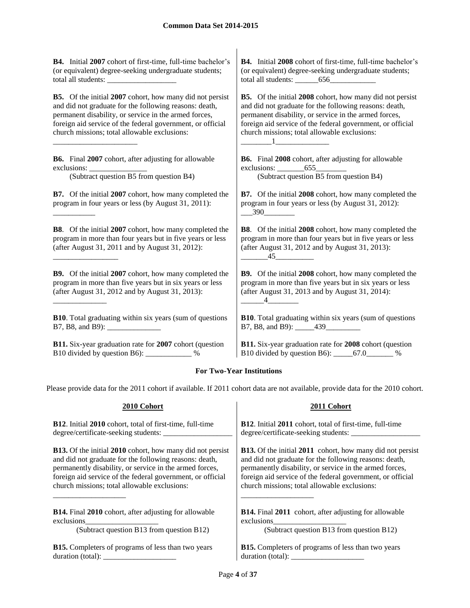**B4.** Initial **2007** cohort of first-time, full-time bachelor's (or equivalent) degree-seeking undergraduate students; total all students:

**B5.** Of the initial **2007** cohort, how many did not persist and did not graduate for the following reasons: death, permanent disability, or service in the armed forces, foreign aid service of the federal government, or official church missions; total allowable exclusions:

**B6.** Final **2007** cohort, after adjusting for allowable exclusions:

\_\_\_\_\_\_\_\_\_\_\_\_\_\_\_\_\_\_\_\_\_\_

\_\_\_\_\_\_\_\_\_\_\_

\_\_\_\_\_\_\_\_\_\_\_\_\_\_\_\_\_

\_\_\_\_\_\_\_\_\_\_\_\_\_\_

(Subtract question B5 from question B4) (Subtract question B5 from question B4)

**B7.** Of the initial **2007** cohort, how many completed the program in four years or less (by August 31, 2011):

**B8**. Of the initial **2007** cohort, how many completed the program in more than four years but in five years or less (after August 31, 2011 and by August 31, 2012):

**B9.** Of the initial **2007** cohort, how many completed the program in more than five years but in six years or less (after August 31, 2012 and by August 31, 2013):

**B10**. Total graduating within six years (sum of questions B7, B8, and B9):

**B11.** Six-year graduation rate for **2007** cohort (question B10 divided by question B6): \_\_\_\_\_\_\_\_\_\_\_\_ %

**B4.** Initial **2008** cohort of first-time, full-time bachelor's (or equivalent) degree-seeking undergraduate students; total all students: \_\_\_\_\_\_656\_\_\_\_\_\_\_\_\_\_\_\_

**B5.** Of the initial **2008** cohort, how many did not persist and did not graduate for the following reasons: death, permanent disability, or service in the armed forces, foreign aid service of the federal government, or official church missions; total allowable exclusions:

**B6.** Final **2008** cohort, after adjusting for allowable exclusions: 655

 $\blacksquare$ 

**B7.** Of the initial **2008** cohort, how many completed the program in four years or less (by August 31, 2012):  $-390$ 

**B8**. Of the initial **2008** cohort, how many completed the program in more than four years but in five years or less (after August 31, 2012 and by August 31, 2013):  $45$ 

**B9.** Of the initial **2008** cohort, how many completed the program in more than five years but in six years or less (after August 31, 2013 and by August 31, 2014):  $\overline{4}$ 

**B10**. Total graduating within six years (sum of questions B7, B8, and B9): 439

**B11.** Six-year graduation rate for **2008** cohort (question B10 divided by question B6): \_\_\_\_\_67.0\_\_\_\_\_\_\_ %

## **For Two-Year Institutions**

Please provide data for the 2011 cohort if available. If 2011 cohort data are not available, provide data for the 2010 cohort.

#### **2010 Cohort 2011 Cohort B12**. Initial **2010** cohort, total of first-time, full-time degree/certificate-seeking students: \_\_\_\_\_\_\_\_\_\_\_\_\_\_\_\_\_\_ **B12**. Initial **2011** cohort, total of first-time, full-time degree/certificate-seeking students: \_\_\_\_\_\_\_\_\_\_\_\_\_\_\_\_\_\_ **B13.** Of the initial **2010** cohort, how many did not persist and did not graduate for the following reasons: death, permanently disability, or service in the armed forces, foreign aid service of the federal government, or official church missions; total allowable exclusions: \_\_\_\_\_\_\_\_\_\_\_\_\_\_\_\_\_\_\_ **B13.** Of the initial **2011** cohort, how many did not persist and did not graduate for the following reasons: death, permanently disability, or service in the armed forces, foreign aid service of the federal government, or official church missions; total allowable exclusions: \_\_\_\_\_\_\_\_\_\_\_\_\_\_\_\_\_\_\_ **B14.** Final **2010** cohort, after adjusting for allowable exclusions\_\_\_\_\_\_\_\_\_\_\_\_\_\_\_\_\_\_\_ **B14.** Final **2011** cohort, after adjusting for allowable exclusions\_\_\_\_\_\_\_\_\_\_\_\_\_\_\_\_\_\_\_ (Subtract question B13 from question B12) (Subtract question B13 from question B12) **B15.** Completers of programs of less than two years duration (total): \_\_\_\_\_\_\_\_\_\_\_\_\_\_\_\_\_\_\_ **B15.** Completers of programs of less than two years duration (total): \_\_\_\_\_\_\_\_\_\_\_\_\_\_\_\_\_\_\_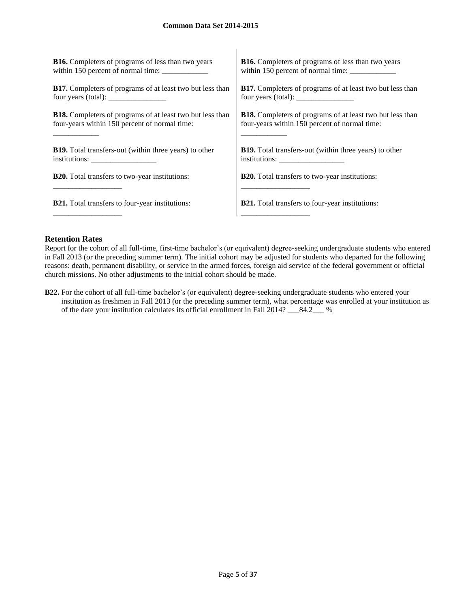| <b>B16.</b> Completers of programs of less than two years                                                                                                                                                                                                                                                                                                                                                                           | <b>B16.</b> Completers of programs of less than two years        |
|-------------------------------------------------------------------------------------------------------------------------------------------------------------------------------------------------------------------------------------------------------------------------------------------------------------------------------------------------------------------------------------------------------------------------------------|------------------------------------------------------------------|
| within 150 percent of normal time:                                                                                                                                                                                                                                                                                                                                                                                                  |                                                                  |
| <b>B17.</b> Completers of programs of at least two but less than                                                                                                                                                                                                                                                                                                                                                                    | B17. Completers of programs of at least two but less than        |
| four years (total): $\frac{1}{\frac{1}{2} \cdot \frac{1}{2} \cdot \frac{1}{2} \cdot \frac{1}{2} \cdot \frac{1}{2} \cdot \frac{1}{2} \cdot \frac{1}{2} \cdot \frac{1}{2} \cdot \frac{1}{2} \cdot \frac{1}{2} \cdot \frac{1}{2} \cdot \frac{1}{2} \cdot \frac{1}{2} \cdot \frac{1}{2} \cdot \frac{1}{2} \cdot \frac{1}{2} \cdot \frac{1}{2} \cdot \frac{1}{2} \cdot \frac{1}{2} \cdot \frac{1}{2} \cdot \frac{1}{2} \cdot \frac{1}{2$ | four years (total): $\frac{\phantom{1}}{2}$                      |
| <b>B18.</b> Completers of programs of at least two but less than                                                                                                                                                                                                                                                                                                                                                                    | <b>B18.</b> Completers of programs of at least two but less than |
| four-years within 150 percent of normal time:                                                                                                                                                                                                                                                                                                                                                                                       | four-years within 150 percent of normal time:                    |
| <b>B19.</b> Total transfers-out (within three years) to other                                                                                                                                                                                                                                                                                                                                                                       | <b>B19.</b> Total transfers-out (within three years) to other    |
| institutions:                                                                                                                                                                                                                                                                                                                                                                                                                       | institutions:                                                    |
| <b>B20.</b> Total transfers to two-year institutions:                                                                                                                                                                                                                                                                                                                                                                               | <b>B20.</b> Total transfers to two-year institutions:            |
|                                                                                                                                                                                                                                                                                                                                                                                                                                     |                                                                  |
| <b>B21.</b> Total transfers to four-year institutions:                                                                                                                                                                                                                                                                                                                                                                              | <b>B21.</b> Total transfers to four-year institutions:           |
|                                                                                                                                                                                                                                                                                                                                                                                                                                     |                                                                  |

 $\overline{1}$ 

#### **Retention Rates**

Report for the cohort of all full-time, first-time bachelor's (or equivalent) degree-seeking undergraduate students who entered in Fall 2013 (or the preceding summer term). The initial cohort may be adjusted for students who departed for the following reasons: death, permanent disability, or service in the armed forces, foreign aid service of the federal government or official church missions. No other adjustments to the initial cohort should be made.

**B22.** For the cohort of all full-time bachelor's (or equivalent) degree-seeking undergraduate students who entered your institution as freshmen in Fall 2013 (or the preceding summer term), what percentage was enrolled at your institution as of the date your institution calculates its official enrollment in Fall 2014? \_\_\_84.2\_\_\_ %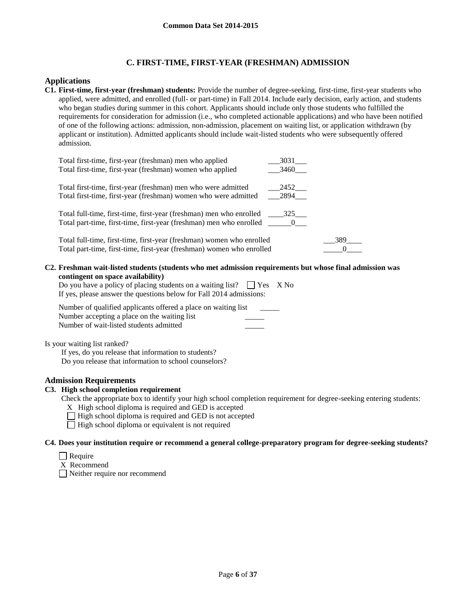## **C. FIRST-TIME, FIRST-YEAR (FRESHMAN) ADMISSION**

### **Applications**

**C1. First-time, first-year (freshman) students:** Provide the number of degree-seeking, first-time, first-year students who applied, were admitted, and enrolled (full- or part-time) in Fall 2014. Include early decision, early action, and students who began studies during summer in this cohort. Applicants should include only those students who fulfilled the requirements for consideration for admission (i.e., who completed actionable applications) and who have been notified of one of the following actions: admission, non-admission, placement on waiting list, or application withdrawn (by applicant or institution). Admitted applicants should include wait-listed students who were subsequently offered admission.

| Total first-time, first-year (freshman) men who applied               | 3031     |  |
|-----------------------------------------------------------------------|----------|--|
| Total first-time, first-year (freshman) women who applied             | 3460     |  |
|                                                                       |          |  |
| Total first-time, first-year (freshman) men who were admitted         | 2452     |  |
| Total first-time, first-year (freshman) women who were admitted       | 2894     |  |
|                                                                       |          |  |
| Total full-time, first-time, first-year (freshman) men who enrolled   | 325      |  |
| Total part-time, first-time, first-year (freshman) men who enrolled   | $\sim$ 0 |  |
|                                                                       |          |  |
| Total full-time, first-time, first-year (freshman) women who enrolled | 389      |  |
| Total part-time, first-time, first-year (freshman) women who enrolled |          |  |

**C2. Freshman wait-listed students (students who met admission requirements but whose final admission was contingent on space availability)**

| Do you have a policy of placing students on a waiting list? $\Box$ Yes X No<br>If yes, please answer the questions below for Fall 2014 admissions: |  |
|----------------------------------------------------------------------------------------------------------------------------------------------------|--|
| Number of qualified applicants offered a place on waiting list                                                                                     |  |

Number accepting a place on the waiting list Number of wait-listed students admitted

Is your waiting list ranked?

If yes, do you release that information to students? Do you release that information to school counselors?

## **Admission Requirements**

**C3. High school completion requirement**

Check the appropriate box to identify your high school completion requirement for degree-seeking entering students:

- X High school diploma is required and GED is accepted
- $\Box$  High school diploma is required and GED is not accepted
- $\Box$  High school diploma or equivalent is not required

#### **C4. Does your institution require or recommend a general college-preparatory program for degree-seeking students?**

- $\Box$  Require
- X Recommend

Neither require nor recommend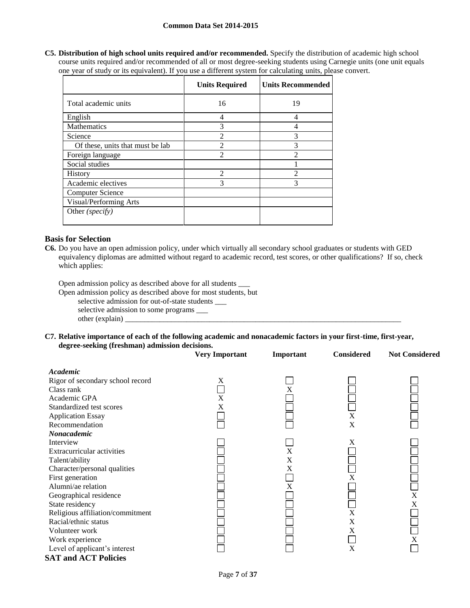**C5. Distribution of high school units required and/or recommended.** Specify the distribution of academic high school course units required and/or recommended of all or most degree-seeking students using Carnegie units (one unit equals one year of study or its equivalent). If you use a different system for calculating units, please convert.

|                                  | <b>Units Required</b> | <b>Units Recommended</b> |
|----------------------------------|-----------------------|--------------------------|
| Total academic units             | 16                    | 19                       |
| English                          | 4                     | $\overline{4}$           |
| <b>Mathematics</b>               | 3                     | 4                        |
| Science                          | $\mathfrak{D}$        | 3                        |
| Of these, units that must be lab | $\mathfrak{D}$        | 3                        |
| Foreign language                 | $\mathfrak{D}$        | $\mathfrak{D}$           |
| Social studies                   |                       |                          |
| <b>History</b>                   | $\mathfrak{D}$        | $\mathcal{D}$            |
| Academic electives               | 3                     | 3                        |
| Computer Science                 |                       |                          |
| Visual/Performing Arts           |                       |                          |
| Other (specify)                  |                       |                          |

### **Basis for Selection**

**C6.** Do you have an open admission policy, under which virtually all secondary school graduates or students with GED equivalency diplomas are admitted without regard to academic record, test scores, or other qualifications? If so, check which applies:

Open admission policy as described above for all students \_\_\_

Open admission policy as described above for most students, but

selective admission for out-of-state students \_\_\_

selective admission to some programs \_\_\_ other (explain) \_

**C7. Relative importance of each of the following academic and nonacademic factors in your first-time, first-year, degree-seeking (freshman) admission decisions.**

|                                  | <b>Very Important</b> | Important | <b>Considered</b> | <b>Not Considered</b> |
|----------------------------------|-----------------------|-----------|-------------------|-----------------------|
| Academic                         |                       |           |                   |                       |
| Rigor of secondary school record | X                     |           |                   |                       |
| Class rank                       |                       |           |                   |                       |
| Academic GPA                     | X                     |           |                   |                       |
| Standardized test scores         | X                     |           |                   |                       |
| <b>Application Essay</b>         |                       |           | X                 |                       |
| Recommendation                   |                       |           | X                 |                       |
| Nonacademic                      |                       |           |                   |                       |
| Interview                        |                       |           | X                 |                       |
| Extracurricular activities       |                       | X         |                   |                       |
| Talent/ability                   |                       | X         |                   |                       |
| Character/personal qualities     |                       | X         |                   |                       |
| First generation                 |                       |           | X                 |                       |
| Alumni/ae relation               |                       | X         |                   |                       |
| Geographical residence           |                       |           |                   | X                     |
| State residency                  |                       |           |                   | X                     |
| Religious affiliation/commitment |                       |           | X                 |                       |
| Racial/ethnic status             |                       |           | X                 |                       |
| Volunteer work                   |                       |           | X                 |                       |
| Work experience                  |                       |           |                   | X                     |
| Level of applicant's interest    |                       |           | X                 |                       |
| <b>SAT and ACT Policies</b>      |                       |           |                   |                       |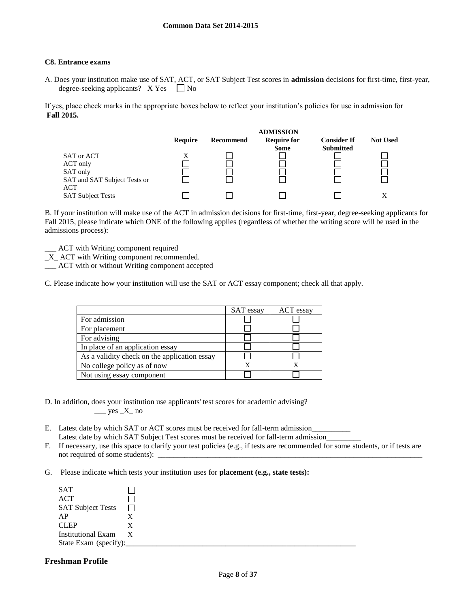#### **C8. Entrance exams**

A. Does your institution make use of SAT, ACT, or SAT Subject Test scores in **admission** decisions for first-time, first-year, degree-seeking applicants?  $X Yes \Box No$ 

If yes, place check marks in the appropriate boxes below to reflect your institution's policies for use in admission for **Fall 2015.**



B. If your institution will make use of the ACT in admission decisions for first-time, first-year, degree-seeking applicants for Fall 2015, please indicate which ONE of the following applies (regardless of whether the writing score will be used in the admissions process):

- \_\_\_ ACT with Writing component required
- \_X\_ ACT with Writing component recommended.
- \_\_\_ ACT with or without Writing component accepted

C. Please indicate how your institution will use the SAT or ACT essay component; check all that apply.

|                                              | SAT essay | ACT essay |
|----------------------------------------------|-----------|-----------|
| For admission                                |           |           |
| For placement                                |           |           |
| For advising                                 |           |           |
| In place of an application essay             |           |           |
| As a validity check on the application essay |           |           |
| No college policy as of now                  |           |           |
| Not using essay component                    |           |           |

- D. In addition, does your institution use applicants' test scores for academic advising?  $\frac{\text{yes }X}{\text{no}}$
- E. Latest date by which SAT or ACT scores must be received for fall-term admission\_ Latest date by which SAT Subject Test scores must be received for fall-term admission
- F. If necessary, use this space to clarify your test policies (e.g., if tests are recommended for some students, or if tests are not required of some students):  $\Box$
- G. Please indicate which tests your institution uses for **placement (e.g., state tests):**

| <b>SAT</b>                |              |
|---------------------------|--------------|
| <b>ACT</b>                |              |
| <b>SAT Subject Tests</b>  |              |
| AP                        | X            |
| <b>CLEP</b>               | X            |
| <b>Institutional Exam</b> | $\mathbf{X}$ |
| State Exam (specify):     |              |

## **Freshman Profile**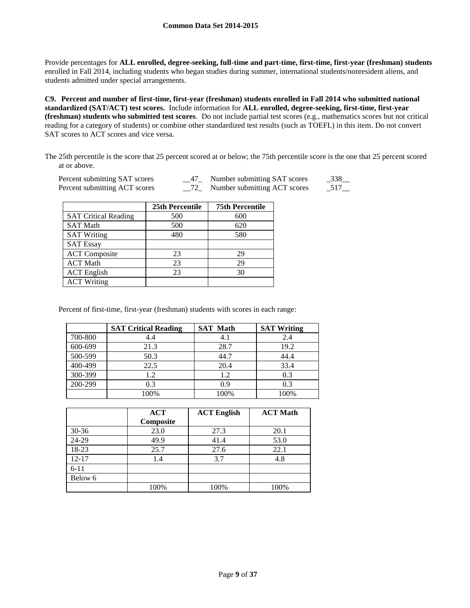Provide percentages for **ALL enrolled, degree-seeking, full-time and part-time, first-time, first-year (freshman) students**  enrolled in Fall 2014, including students who began studies during summer, international students/nonresident aliens, and students admitted under special arrangements.

**C9. Percent and number of first-time, first-year (freshman) students enrolled in Fall 2014 who submitted national standardized (SAT/ACT) test scores.** Include information for **ALL enrolled, degree-seeking, first-time, first-year (freshman) students who submitted test scores**. Do not include partial test scores (e.g., mathematics scores but not critical reading for a category of students) or combine other standardized test results (such as TOEFL) in this item. Do not convert SAT scores to ACT scores and vice versa.

The 25th percentile is the score that 25 percent scored at or below; the 75th percentile score is the one that 25 percent scored at or above.

| Percent submitting SAT scores | Number submitting SAT scores | $-338$              |
|-------------------------------|------------------------------|---------------------|
| Percent submitting ACT scores | Number submitting ACT scores | $-517$ <sub>—</sub> |

|                             | 25th Percentile | <b>75th Percentile</b> |
|-----------------------------|-----------------|------------------------|
| <b>SAT Critical Reading</b> | 500             | 600                    |
| <b>SAT Math</b>             | 500             | 620                    |
| <b>SAT Writing</b>          | 480             | 580                    |
| <b>SAT Essay</b>            |                 |                        |
| <b>ACT</b> Composite        | 23              | 29                     |
| <b>ACT Math</b>             | 23              | 29                     |
| <b>ACT</b> English          | 23              | 30                     |
| <b>ACT Writing</b>          |                 |                        |

Percent of first-time, first-year (freshman) students with scores in each range:

|         | <b>SAT Critical Reading</b> | <b>SAT Math</b> | <b>SAT Writing</b> |
|---------|-----------------------------|-----------------|--------------------|
| 700-800 | 4.4                         | 4.1             | 2.4                |
| 600-699 | 21.3                        | 28.7            | 19.2               |
| 500-599 | 50.3                        | 44.7            | 44.4               |
| 400-499 | 22.5                        | 20.4            | 33.4               |
| 300-399 | 1.2                         | 1.2             | 0.3                |
| 200-299 | 0.3                         | 0.9             | 0.3                |
|         | 100%                        | 100%            | 100%               |

|           | <b>ACT</b> | <b>ACT English</b> | <b>ACT Math</b> |
|-----------|------------|--------------------|-----------------|
|           | Composite  |                    |                 |
| $30 - 36$ | 23.0       | 27.3               | 20.1            |
| 24-29     | 49.9       | 41.4               | 53.0            |
| 18-23     | 25.7       | 27.6               | 22.1            |
| $12 - 17$ | 1.4        | 3.7                | 4.8             |
| $6 - 11$  |            |                    |                 |
| Below 6   |            |                    |                 |
|           | 100%       | 100%               | 100%            |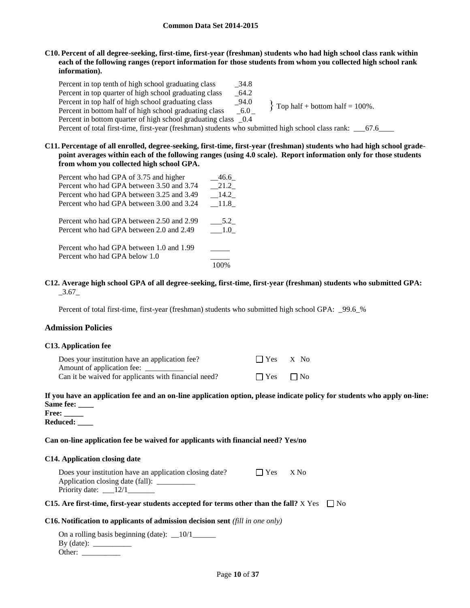**C10. Percent of all degree-seeking, first-time, first-year (freshman) students who had high school class rank within each of the following ranges (report information for those students from whom you collected high school rank information).**

Percent in top tenth of high school graduating class \_34.8 Percent in top quarter of high school graduating class  $64.2$ Percent in top half of high school graduating class 294.0 Percent in bottom half of high school graduating class  $6.0 \quad$ Percent in bottom quarter of high school graduating class  $0.4$ Percent of total first-time, first-year (freshman) students who submitted high school class rank: \_\_\_67.6\_\_\_\_  $\}$  Top half + bottom half = 100%.

**C11. Percentage of all enrolled, degree-seeking, first-time, first-year (freshman) students who had high school gradepoint averages within each of the following ranges (using 4.0 scale). Report information only for those students from whom you collected high school GPA.**

| Percent who had GPA of 3.75 and higher    | 46.6 |
|-------------------------------------------|------|
| Percent who had GPA between 3.50 and 3.74 | 21.2 |
| Percent who had GPA between 3.25 and 3.49 | 14.2 |
| Percent who had GPA between 3.00 and 3.24 | 11.8 |
| Percent who had GPA between 2.50 and 2.99 | 5.2  |
| Percent who had GPA between 2.0 and 2.49  | 1.0  |
| Percent who had GPA between 1.0 and 1.99  |      |
| Percent who had GPA below 1.0             |      |
|                                           |      |

#### **C12. Average high school GPA of all degree-seeking, first-time, first-year (freshman) students who submitted GPA:**  $-3.67$

Percent of total first-time, first-year (freshman) students who submitted high school GPA: 99.6 %

## **Admission Policies**

#### **C13. Application fee**

| Does your institution have an application fee?       | $\Box$ Yes $X$ No |           |
|------------------------------------------------------|-------------------|-----------|
| Amount of application fee:                           |                   |           |
| Can it be waived for applicants with financial need? | $\Box$ Yes        | $\Box$ No |

## **If you have an application fee and an on-line application option, please indicate policy for students who apply on-line: Same fee: \_\_\_\_**

**Free: \_\_\_\_\_ Reduced: \_\_\_\_**

#### **Can on-line application fee be waived for applicants with financial need? Yes/no**

#### **C14. Application closing date**

| Does your institution have an application closing date? | $\Box$ Yes | X No |
|---------------------------------------------------------|------------|------|
| Application closing date (fall):                        |            |      |
| Priority date: $\_\_12/1$                               |            |      |

#### **C15.** Are first-time, first-year students accepted for terms other than the fall?  $X$  Yes  $\Box$  No

#### **C16. Notification to applicants of admission decision sent** *(fill in one only)*

| On a rolling basis beginning (date): $\_\$ 10/1 |  |
|-------------------------------------------------|--|
| By (date):                                      |  |
| Other:                                          |  |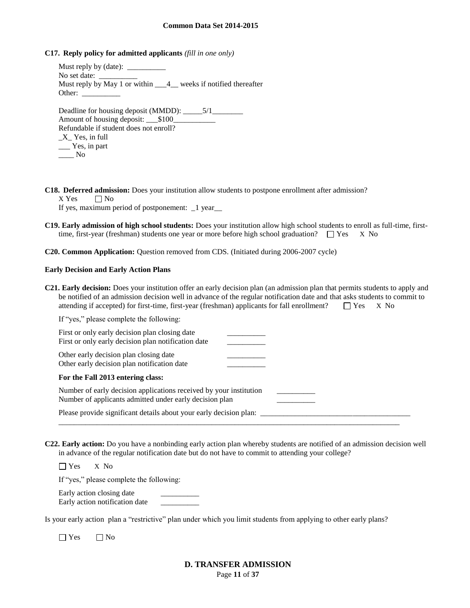**C17. Reply policy for admitted applicants** *(fill in one only)*

Must reply by (date): No set date: Must reply by May 1 or within \_\_\_4\_\_ weeks if notified thereafter Other: Deadline for housing deposit (MMDD): \_\_\_\_\_5/1\_\_\_\_\_\_\_\_ Amount of housing deposit:  $$100$ Refundable if student does not enroll? \_X\_ Yes, in full \_\_\_ Yes, in part  $\_\_\_\_\$  No

**C18. Deferred admission:** Does your institution allow students to postpone enrollment after admission?

 $X$  Yes  $\Box$  No

If yes, maximum period of postponement: \_1 year\_\_

**C19. Early admission of high school students:** Does your institution allow high school students to enroll as full-time, firsttime, first-year (freshman) students one year or more before high school graduation?  $\square$  Yes X No

**C20. Common Application:** Question removed from CDS. (Initiated during 2006-2007 cycle)

#### **Early Decision and Early Action Plans**

| <b>C21. Early decision:</b> Does your institution offer an early decision plan (an admission plan that permits students to apply and |  |  |
|--------------------------------------------------------------------------------------------------------------------------------------|--|--|
| be notified of an admission decision well in advance of the regular notification date and that asks students to commit to            |  |  |
| attending if accepted) for first-time, first-year (freshman) applicants for fall enrollment? $\square$ Yes $\times$ No               |  |  |

| If "yes," please complete the following:                                                                                      |  |
|-------------------------------------------------------------------------------------------------------------------------------|--|
| First or only early decision plan closing date<br>First or only early decision plan notification date                         |  |
| Other early decision plan closing date<br>Other early decision plan notification date                                         |  |
| For the Fall 2013 entering class:                                                                                             |  |
| Number of early decision applications received by your institution<br>Number of applicants admitted under early decision plan |  |
| Please provide significant details about your early decision plan:                                                            |  |

**C22. Early action:** Do you have a nonbinding early action plan whereby students are notified of an admission decision well in advance of the regular notification date but do not have to commit to attending your college?

Yes X No

If "yes," please complete the following:

Early action closing date Early action notification date \_\_\_\_\_\_\_\_\_\_

Is your early action plan a "restrictive" plan under which you limit students from applying to other early plans?

 $\Box$  Yes  $\Box$  No

## Page **11** of **37 D. TRANSFER ADMISSION**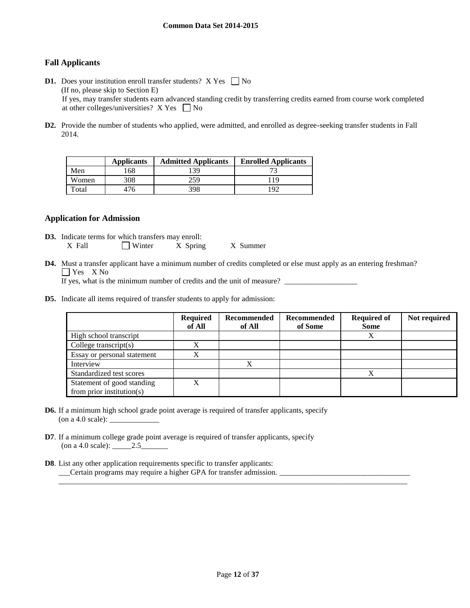## **Fall Applicants**

- **D1.** Does your institution enroll transfer students?  $X$  Yes  $\Box$  No (If no, please skip to Section E) If yes, may transfer students earn advanced standing credit by transferring credits earned from course work completed at other colleges/universities?  $X$  Yes  $\Box$  No
- **D2.** Provide the number of students who applied, were admitted, and enrolled as degree-seeking transfer students in Fall 2014.

|       | <b>Applicants</b> | <b>Admitted Applicants</b> | <b>Enrolled Applicants</b> |
|-------|-------------------|----------------------------|----------------------------|
| Men   | 168               | 139                        |                            |
| Women | 308               | 259                        | 119                        |
| Total | 476               | 398                        | 1 Q C                      |

#### **Application for Admission**

- **D3.** Indicate terms for which transfers may enroll: X Fall  $\Box$  Winter X Spring X Summer
- **D4.** Must a transfer applicant have a minimum number of credits completed or else must apply as an entering freshman? Yes X No

If yes, what is the minimum number of credits and the unit of measure? \_\_\_\_\_\_\_\_\_\_\_\_\_\_\_\_\_\_\_

**D5.** Indicate all items required of transfer students to apply for admission:

|                                                         | <b>Required</b><br>of All | Recommended<br>of All | Recommended<br>of Some | <b>Required of</b><br><b>Some</b> | Not required |
|---------------------------------------------------------|---------------------------|-----------------------|------------------------|-----------------------------------|--------------|
| High school transcript                                  |                           |                       |                        | Х                                 |              |
| College transcript $(s)$                                |                           |                       |                        |                                   |              |
| Essay or personal statement                             | ٦z                        |                       |                        |                                   |              |
| Interview                                               |                           | $\mathbf v$           |                        |                                   |              |
| Standardized test scores                                |                           |                       |                        | v                                 |              |
| Statement of good standing<br>from prior institution(s) | X                         |                       |                        |                                   |              |

- **D6.** If a minimum high school grade point average is required of transfer applicants, specify (on a 4.0 scale): \_\_\_\_\_\_\_\_\_\_\_\_\_
- **D7**. If a minimum college grade point average is required of transfer applicants, specify (on a 4.0 scale): \_\_\_\_\_2.5\_\_\_\_\_\_\_
- **D8**. List any other application requirements specific to transfer applicants: \_\_\_Certain programs may require a higher GPA for transfer admission. \_\_\_\_\_\_\_\_\_\_\_\_\_\_\_\_\_\_\_\_\_\_\_\_\_\_\_\_\_\_\_\_\_\_

\_\_\_\_\_\_\_\_\_\_\_\_\_\_\_\_\_\_\_\_\_\_\_\_\_\_\_\_\_\_\_\_\_\_\_\_\_\_\_\_\_\_\_\_\_\_\_\_\_\_\_\_\_\_\_\_\_\_\_\_\_\_\_\_\_\_\_\_\_\_\_\_\_\_\_\_\_\_\_\_\_\_\_\_\_\_\_\_\_\_\_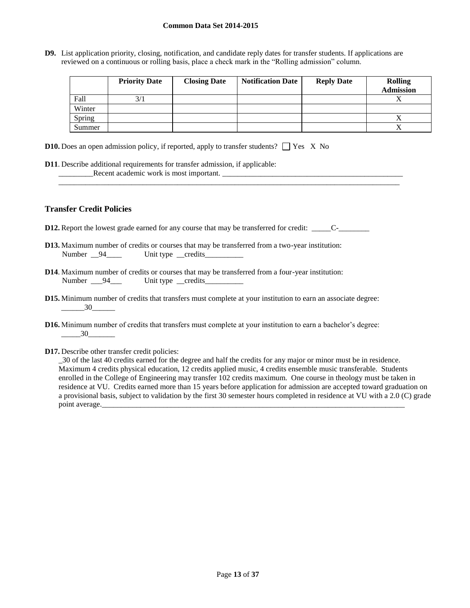**D9.** List application priority, closing, notification, and candidate reply dates for transfer students. If applications are reviewed on a continuous or rolling basis, place a check mark in the "Rolling admission" column.

\_\_\_\_\_\_\_\_\_\_\_\_\_\_\_\_\_\_\_\_\_\_\_\_\_\_\_\_\_\_\_\_\_\_\_\_\_\_\_\_\_\_\_\_\_\_\_\_\_\_\_\_\_\_\_\_\_\_\_\_\_\_\_\_\_\_\_\_\_\_\_\_\_\_\_\_\_\_\_\_\_\_\_\_\_\_\_\_\_

|        | <b>Priority Date</b> | <b>Closing Date</b> | <b>Notification Date</b> | <b>Reply Date</b> | <b>Rolling</b><br><b>Admission</b> |
|--------|----------------------|---------------------|--------------------------|-------------------|------------------------------------|
| Fall   | 3/1                  |                     |                          |                   |                                    |
| Winter |                      |                     |                          |                   |                                    |
| Spring |                      |                     |                          |                   |                                    |
| Summer |                      |                     |                          |                   |                                    |

- **D10.** Does an open admission policy, if reported, apply to transfer students?  $\Box$  Yes X No
- **D11**. Describe additional requirements for transfer admission, if applicable: \_\_\_\_\_\_\_\_\_Recent academic work is most important. \_\_\_\_\_\_\_\_\_\_\_\_\_\_\_\_\_\_\_\_\_\_\_\_\_\_\_\_\_\_\_\_\_\_\_\_\_\_\_\_\_\_\_\_\_\_\_

## **Transfer Credit Policies**

**D12.** Report the lowest grade earned for any course that may be transferred for credit: \_\_\_\_\_\_C-\_\_\_\_\_\_\_\_\_\_\_\_\_\_\_

- **D13.** Maximum number of credits or courses that may be transferred from a two-year institution: Number \_\_94\_\_\_\_ Unit type \_\_credits\_\_\_\_\_\_\_\_
- **D14**. Maximum number of credits or courses that may be transferred from a four-year institution: Number \_\_\_94\_\_\_ Unit type \_\_credits\_\_\_\_\_\_\_\_\_
- **D15.** Minimum number of credits that transfers must complete at your institution to earn an associate degree: \_\_\_\_\_\_30\_\_\_\_\_\_
- **D16.** Minimum number of credits that transfers must complete at your institution to earn a bachelor's degree: \_\_\_\_\_30\_\_\_\_\_\_\_
- **D17.** Describe other transfer credit policies:

\_30 of the last 40 credits earned for the degree and half the credits for any major or minor must be in residence. Maximum 4 credits physical education, 12 credits applied music, 4 credits ensemble music transferable. Students enrolled in the College of Engineering may transfer 102 credits maximum. One course in theology must be taken in residence at VU. Credits earned more than 15 years before application for admission are accepted toward graduation on a provisional basis, subject to validation by the first 30 semester hours completed in residence at VU with a 2.0 (C) grade point average.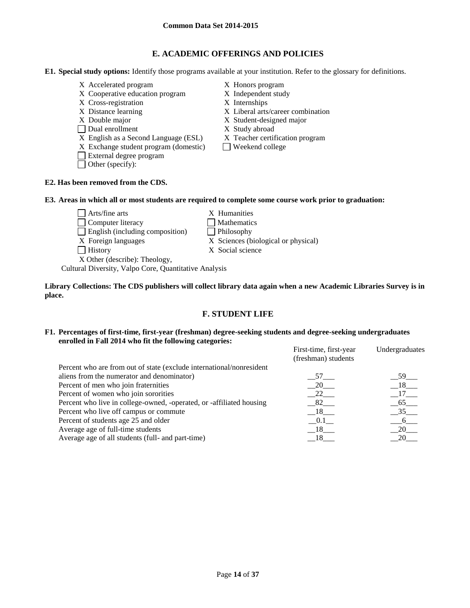## **E. ACADEMIC OFFERINGS AND POLICIES**

**E1. Special study options:** Identify those programs available at your institution. Refer to the glossary for definitions.

- X Accelerated program X Honors program
- X Cooperative education program X Independent study
- X Cross-registration X Internships
- 
- 
- 
- □ Dual enrollment X Study abroad<br>
X English as a Second Language (ESL) X Teacher certification program  $X$  English as a Second Language (ESL)
- $X$  Exchange student program (domestic) Weekend college
- External degree program
- Other (specify):
- 
- 
- 
- X Distance learning X Liberal arts/career combination
- X Double major X Student-designed major
	-
	-
	-

## **E2. Has been removed from the CDS.**

## **E3. Areas in which all or most students are required to complete some course work prior to graduation:**

- $\Box$  Arts/fine arts  $X$  Humanities □ Computer literacy △ □ Mathematics
- $\Box$  English (including composition)  $\Box$  Philosophy
	-
- 
- 
- X Foreign languages X Sciences (biological or physical)
- History X Social science

X Other (describe): Theology, Cultural Diversity, Valpo Core, Quantitative Analysis

**Library Collections: The CDS publishers will collect library data again when a new Academic Libraries Survey is in place.** 

## **F. STUDENT LIFE**

## **F1. Percentages of first-time, first-year (freshman) degree-seeking students and degree-seeking undergraduates enrolled in Fall 2014 who fit the following categories:**

|                                                                      | First-time, first-year<br>(freshman) students | Undergraduates    |
|----------------------------------------------------------------------|-----------------------------------------------|-------------------|
| Percent who are from out of state (exclude international/nonresident |                                               |                   |
| aliens from the numerator and denominator)                           | 57                                            | $59$ <sub>—</sub> |
| Percent of men who join fraternities                                 | 20                                            | $18$ <sub>—</sub> |
| Percent of women who join sororities                                 | 22                                            | 17                |
| Percent who live in college-owned, -operated, or -affiliated housing | 82                                            | $-65$             |
| Percent who live off campus or commute                               | 18                                            | 35                |
| Percent of students age 25 and older                                 | 0.1                                           | -6                |
| Average age of full-time students                                    | 18                                            | 20                |
| Average age of all students (full- and part-time)                    | - 18 -                                        | 20                |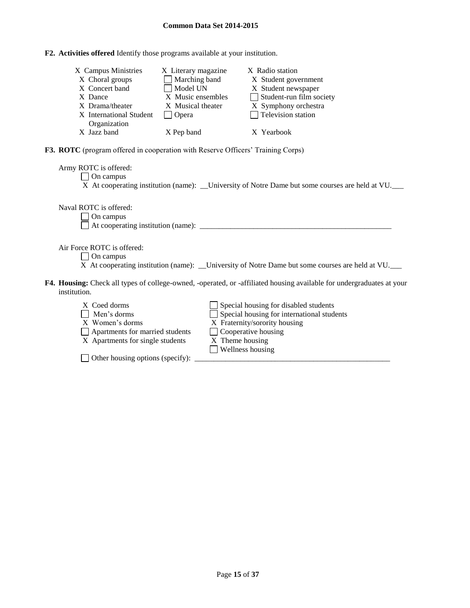**F2. Activities offered** Identify those programs available at your institution.

| X Campus Ministries     | X Literary magazine  | X Radio station                 |
|-------------------------|----------------------|---------------------------------|
| X Choral groups         | $\Box$ Marching band | X Student government            |
| X Concert band          | Model UN             | X Student newspaper             |
| X Dance                 | X Music ensembles    | $\Box$ Student-run film society |
| X Drama/theater         | X Musical theater    | X Symphony orchestra            |
| X International Student | <b>Opera</b>         | $\Box$ Television station       |
| Organization            |                      |                                 |
| X Jazz band             | X Pep band           | X Yearbook                      |

**F3. ROTC** (program offered in cooperation with Reserve Officers' Training Corps)

Army ROTC is offered: On campus X At cooperating institution (name): \_\_University of Notre Dame but some courses are held at VU.

Naval ROTC is offered:

On campus

 $\Box$  At cooperating institution (name):  $\Box$ 

Air Force ROTC is offered:

- □ On campus
- X At cooperating institution (name): \_\_University of Notre Dame but some courses are held at VU.
- **F4. Housing:** Check all types of college-owned, -operated, or -affiliated housing available for undergraduates at your institution.
	- $X$  Coed dorms  $\Box$  Special housing for disabled students
	- $\Box$  Men's dorms  $\Box$  Special housing for international students
	- X Women's dorms X Fraternity/sorority housing
	- □ Apartments for married students □ Cooperative housing<br>X Apartments for single students X Theme housing
	- $X$  Apartments for single students
- 
- 
- 
- **Wellness housing**

 $\Box$  Other housing options (specify):  $\Box$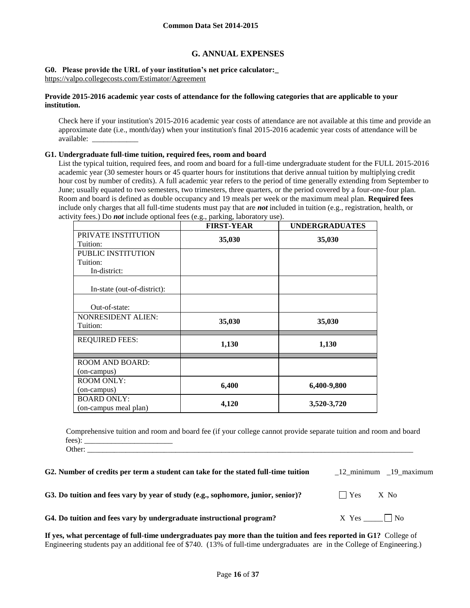## **G. ANNUAL EXPENSES**

#### **G0. Please provide the URL of your institution's net price calculator:\_** https://valpo.collegecosts.com/Estimator/Agreement

#### **Provide 2015-2016 academic year costs of attendance for the following categories that are applicable to your institution.**

Check here if your institution's 2015-2016 academic year costs of attendance are not available at this time and provide an approximate date (i.e., month/day) when your institution's final 2015-2016 academic year costs of attendance will be available: \_\_\_\_\_\_\_\_\_\_\_\_

#### **G1. Undergraduate full-time tuition, required fees, room and board**

List the typical tuition, required fees, and room and board for a full-time undergraduate student for the FULL 2015-2016 academic year (30 semester hours or 45 quarter hours for institutions that derive annual tuition by multiplying credit hour cost by number of credits). A full academic year refers to the period of time generally extending from September to June; usually equated to two semesters, two trimesters, three quarters, or the period covered by a four-one-four plan. Room and board is defined as double occupancy and 19 meals per week or the maximum meal plan. **Required fees** include only charges that all full-time students must pay that are *not* included in tuition (e.g., registration, health, or activity fees.) Do *not* include optional fees (e.g., parking, laboratory use).

|                                       | <b>FIRST-YEAR</b> | <b>UNDERGRADUATES</b> |
|---------------------------------------|-------------------|-----------------------|
| PRIVATE INSTITUTION<br>Tuition:       | 35,030            | 35,030                |
| PUBLIC INSTITUTION                    |                   |                       |
| Tuition:                              |                   |                       |
| In-district:                          |                   |                       |
| In-state (out-of-district):           |                   |                       |
| Out-of-state:                         |                   |                       |
| <b>NONRESIDENT ALIEN:</b><br>Tuition: | 35,030            | 35,030                |
| <b>REQUIRED FEES:</b>                 | 1,130             | 1,130                 |
| <b>ROOM AND BOARD:</b>                |                   |                       |
| (on-campus)                           |                   |                       |
| <b>ROOM ONLY:</b>                     |                   |                       |
| (on-campus)                           | 6,400             | 6,400-9,800           |
| <b>BOARD ONLY:</b>                    | 4,120             | 3,520-3,720           |
| (on-campus meal plan)                 |                   |                       |

Comprehensive tuition and room and board fee (if your college cannot provide separate tuition and room and board fees): Other:

| G2. Number of credits per term a student can take for the stated full-time tuition | 12 minimum 19 maximum            |
|------------------------------------------------------------------------------------|----------------------------------|
| G3. Do tuition and fees vary by year of study (e.g., sophomore, junior, senior)?   | $\vert$ $\vert$ Yes $\vert$ X No |
| G4. Do tuition and fees vary by undergraduate instructional program?               | X Yes No                         |

**If yes, what percentage of full-time undergraduates pay more than the tuition and fees reported in G1?** College of Engineering students pay an additional fee of \$740. (13% of full-time undergraduates are in the College of Engineering.)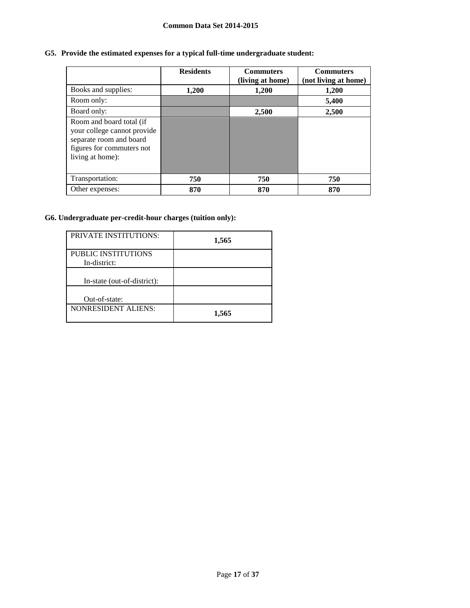## **G5. Provide the estimated expenses for a typical full-time undergraduate student:**

|                                                                                                                                     | <b>Residents</b> | <b>Commuters</b><br>(living at home) | <b>Commuters</b><br>(not living at home) |
|-------------------------------------------------------------------------------------------------------------------------------------|------------------|--------------------------------------|------------------------------------------|
| Books and supplies:                                                                                                                 | 1,200            | 1,200                                | 1,200                                    |
| Room only:                                                                                                                          |                  |                                      | 5,400                                    |
| Board only:                                                                                                                         |                  | 2,500                                | 2,500                                    |
| Room and board total (if<br>your college cannot provide<br>separate room and board<br>figures for commuters not<br>living at home): |                  |                                      |                                          |
| Transportation:                                                                                                                     | 750              | 750                                  | 750                                      |
| Other expenses:                                                                                                                     | 870              | 870                                  | 870                                      |

## **G6. Undergraduate per-credit-hour charges (tuition only):**

| <b>PRIVATE INSTITUTIONS:</b>        | 1,565 |
|-------------------------------------|-------|
| PUBLIC INSTITUTIONS<br>In-district: |       |
| In-state (out-of-district):         |       |
| Out-of-state:                       |       |
| <b>NONRESIDENT ALIENS:</b>          | 1,565 |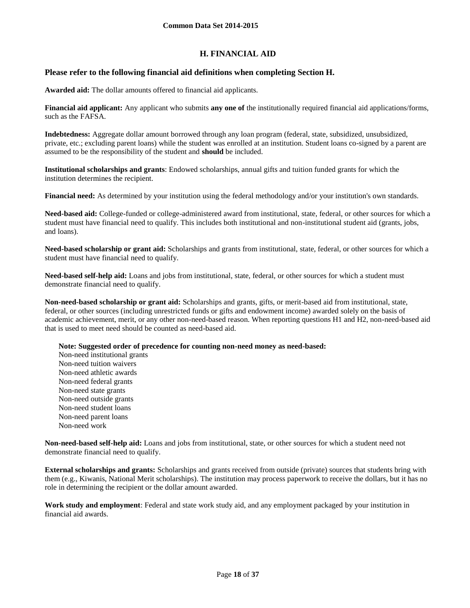## **H. FINANCIAL AID**

## **Please refer to the following financial aid definitions when completing Section H.**

**Awarded aid:** The dollar amounts offered to financial aid applicants.

**Financial aid applicant:** Any applicant who submits **any one of** the institutionally required financial aid applications/forms, such as the FAFSA.

**Indebtedness:** Aggregate dollar amount borrowed through any loan program (federal, state, subsidized, unsubsidized, private, etc.; excluding parent loans) while the student was enrolled at an institution. Student loans co-signed by a parent are assumed to be the responsibility of the student and **should** be included.

**Institutional scholarships and grants**: Endowed scholarships, annual gifts and tuition funded grants for which the institution determines the recipient.

**Financial need:** As determined by your institution using the federal methodology and/or your institution's own standards.

**Need-based aid:** College-funded or college-administered award from institutional, state, federal, or other sources for which a student must have financial need to qualify. This includes both institutional and non-institutional student aid (grants, jobs, and loans).

**Need-based scholarship or grant aid:** Scholarships and grants from institutional, state, federal, or other sources for which a student must have financial need to qualify.

**Need-based self-help aid:** Loans and jobs from institutional, state, federal, or other sources for which a student must demonstrate financial need to qualify.

**Non-need-based scholarship or grant aid:** Scholarships and grants, gifts, or merit-based aid from institutional, state, federal, or other sources (including unrestricted funds or gifts and endowment income) awarded solely on the basis of academic achievement, merit, or any other non-need-based reason. When reporting questions H1 and H2, non-need-based aid that is used to meet need should be counted as need-based aid.

**Note: Suggested order of precedence for counting non-need money as need-based:**

Non-need institutional grants Non-need tuition waivers Non-need athletic awards Non-need federal grants Non-need state grants Non-need outside grants Non-need student loans Non-need parent loans Non-need work

**Non-need-based self-help aid:** Loans and jobs from institutional, state, or other sources for which a student need not demonstrate financial need to qualify.

**External scholarships and grants:** Scholarships and grants received from outside (private) sources that students bring with them (e.g., Kiwanis, National Merit scholarships). The institution may process paperwork to receive the dollars, but it has no role in determining the recipient or the dollar amount awarded.

**Work study and employment**: Federal and state work study aid, and any employment packaged by your institution in financial aid awards.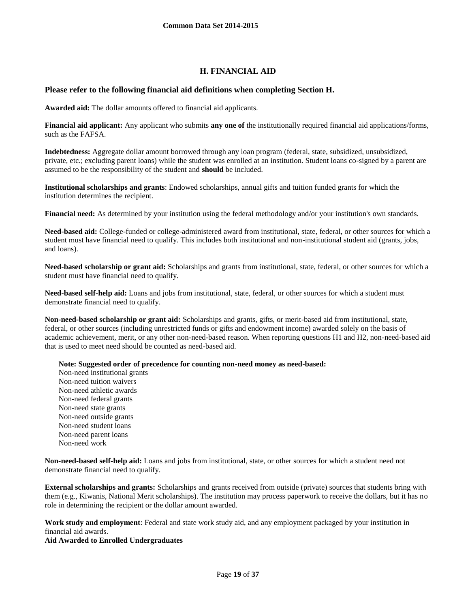## **H. FINANCIAL AID**

## **Please refer to the following financial aid definitions when completing Section H.**

**Awarded aid:** The dollar amounts offered to financial aid applicants.

**Financial aid applicant:** Any applicant who submits **any one of** the institutionally required financial aid applications/forms, such as the FAFSA.

**Indebtedness:** Aggregate dollar amount borrowed through any loan program (federal, state, subsidized, unsubsidized, private, etc.; excluding parent loans) while the student was enrolled at an institution. Student loans co-signed by a parent are assumed to be the responsibility of the student and **should** be included.

**Institutional scholarships and grants**: Endowed scholarships, annual gifts and tuition funded grants for which the institution determines the recipient.

**Financial need:** As determined by your institution using the federal methodology and/or your institution's own standards.

**Need-based aid:** College-funded or college-administered award from institutional, state, federal, or other sources for which a student must have financial need to qualify. This includes both institutional and non-institutional student aid (grants, jobs, and loans).

**Need-based scholarship or grant aid:** Scholarships and grants from institutional, state, federal, or other sources for which a student must have financial need to qualify.

**Need-based self-help aid:** Loans and jobs from institutional, state, federal, or other sources for which a student must demonstrate financial need to qualify.

**Non-need-based scholarship or grant aid:** Scholarships and grants, gifts, or merit-based aid from institutional, state, federal, or other sources (including unrestricted funds or gifts and endowment income) awarded solely on the basis of academic achievement, merit, or any other non-need-based reason. When reporting questions H1 and H2, non-need-based aid that is used to meet need should be counted as need-based aid.

**Note: Suggested order of precedence for counting non-need money as need-based:**

Non-need institutional grants Non-need tuition waivers Non-need athletic awards Non-need federal grants Non-need state grants Non-need outside grants Non-need student loans Non-need parent loans Non-need work

**Non-need-based self-help aid:** Loans and jobs from institutional, state, or other sources for which a student need not demonstrate financial need to qualify.

**External scholarships and grants:** Scholarships and grants received from outside (private) sources that students bring with them (e.g., Kiwanis, National Merit scholarships). The institution may process paperwork to receive the dollars, but it has no role in determining the recipient or the dollar amount awarded.

**Work study and employment**: Federal and state work study aid, and any employment packaged by your institution in financial aid awards.

**Aid Awarded to Enrolled Undergraduates**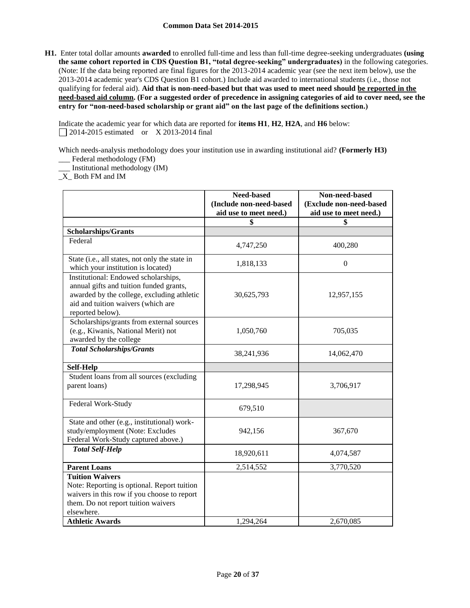**H1.** Enter total dollar amounts **awarded** to enrolled full-time and less than full-time degree-seeking undergraduates **(using the same cohort reported in CDS Question B1, "total degree-seeking" undergraduates)** in the following categories. (Note: If the data being reported are final figures for the 2013-2014 academic year (see the next item below), use the 2013-2014 academic year's CDS Question B1 cohort.) Include aid awarded to international students (i.e., those not qualifying for federal aid). **Aid that is non-need-based but that was used to meet need should be reported in the need-based aid column. (For a suggested order of precedence in assigning categories of aid to cover need, see the entry for "non-need-based scholarship or grant aid" on the last page of the definitions section.)**

Indicate the academic year for which data are reported for **items H1**, **H2**, **H2A**, and **H6** below: 2014-2015 estimated or X 2013-2014 final

Which needs-analysis methodology does your institution use in awarding institutional aid? **(Formerly H3)**

\_\_\_ Federal methodology (FM) \_\_\_ Institutional methodology (IM)

\_X\_ Both FM and IM

|                                                                                                                                                                                         | Need-based              | Non-need-based          |
|-----------------------------------------------------------------------------------------------------------------------------------------------------------------------------------------|-------------------------|-------------------------|
|                                                                                                                                                                                         | (Include non-need-based | (Exclude non-need-based |
|                                                                                                                                                                                         | aid use to meet need.)  | aid use to meet need.)  |
|                                                                                                                                                                                         | \$                      | \$                      |
| <b>Scholarships/Grants</b>                                                                                                                                                              |                         |                         |
| Federal                                                                                                                                                                                 | 4,747,250               | 400,280                 |
| State (i.e., all states, not only the state in<br>which your institution is located)                                                                                                    | 1,818,133               | $\Omega$                |
| Institutional: Endowed scholarships,<br>annual gifts and tuition funded grants,<br>awarded by the college, excluding athletic<br>aid and tuition waivers (which are<br>reported below). | 30,625,793              | 12,957,155              |
| Scholarships/grants from external sources<br>(e.g., Kiwanis, National Merit) not<br>awarded by the college                                                                              | 1,050,760               | 705,035                 |
| <b>Total Scholarships/Grants</b>                                                                                                                                                        | 38,241,936              | 14,062,470              |
| <b>Self-Help</b>                                                                                                                                                                        |                         |                         |
| Student loans from all sources (excluding<br>parent loans)                                                                                                                              | 17,298,945              | 3,706,917               |
| Federal Work-Study                                                                                                                                                                      | 679,510                 |                         |
| State and other (e.g., institutional) work-<br>study/employment (Note: Excludes<br>Federal Work-Study captured above.)                                                                  | 942,156                 | 367,670                 |
| <b>Total Self-Help</b>                                                                                                                                                                  | 18,920,611              | 4,074,587               |
| <b>Parent Loans</b>                                                                                                                                                                     | 2,514,552               | 3,770,520               |
| <b>Tuition Waivers</b><br>Note: Reporting is optional. Report tuition<br>waivers in this row if you choose to report<br>them. Do not report tuition waivers<br>elsewhere.               |                         |                         |
| <b>Athletic Awards</b>                                                                                                                                                                  | 1,294,264               | 2,670,085               |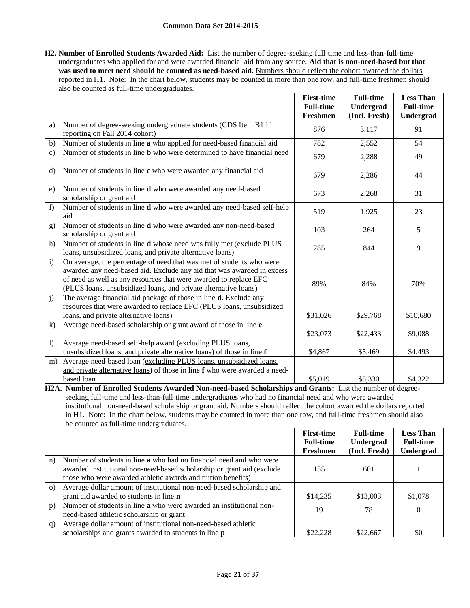**H2. Number of Enrolled Students Awarded Aid:** List the number of degree-seeking full-time and less-than-full-time undergraduates who applied for and were awarded financial aid from any source. **Aid that is non-need-based but that**  was used to meet need should be counted as need-based aid. Numbers should reflect the cohort awarded the dollars reported in H1. Note: In the chart below, students may be counted in more than one row, and full-time freshmen should also be counted as full-time undergraduates.

|                |                                                                                                                                                                                                                                                                                        | <b>First-time</b> | <b>Full-time</b> | <b>Less Than</b> |
|----------------|----------------------------------------------------------------------------------------------------------------------------------------------------------------------------------------------------------------------------------------------------------------------------------------|-------------------|------------------|------------------|
|                |                                                                                                                                                                                                                                                                                        | <b>Full-time</b>  | Undergrad        | <b>Full-time</b> |
|                |                                                                                                                                                                                                                                                                                        | Freshmen          | (Incl. Fresh)    | Undergrad        |
| a)             | Number of degree-seeking undergraduate students (CDS Item B1 if<br>reporting on Fall 2014 cohort)                                                                                                                                                                                      | 876               | 3,117            | 91               |
| b)             | Number of students in line a who applied for need-based financial aid                                                                                                                                                                                                                  | 782               | 2,552            | 54               |
| $\mathbf{c})$  | Number of students in line <b>b</b> who were determined to have financial need                                                                                                                                                                                                         | 679               | 2,288            | 49               |
| $\mathbf{d}$   | Number of students in line c who were awarded any financial aid                                                                                                                                                                                                                        | 679               | 2,286            | 44               |
| e)             | Number of students in line d who were awarded any need-based<br>scholarship or grant aid                                                                                                                                                                                               | 673               | 2,268            | 31               |
| f)             | Number of students in line d who were awarded any need-based self-help<br>aid                                                                                                                                                                                                          | 519               | 1,925            | 23               |
| g)             | Number of students in line d who were awarded any non-need-based<br>scholarship or grant aid                                                                                                                                                                                           | 103               | 264              | 5                |
| h)             | Number of students in line <b>d</b> whose need was fully met (exclude PLUS<br>loans, unsubsidized loans, and private alternative loans)                                                                                                                                                | 285               | 844              | 9                |
| $\mathbf{i}$   | On average, the percentage of need that was met of students who were<br>awarded any need-based aid. Exclude any aid that was awarded in excess<br>of need as well as any resources that were awarded to replace EFC<br>(PLUS loans, unsubsidized loans, and private alternative loans) | 89%               | 84%              | 70%              |
| $\mathbf{j}$   | The average financial aid package of those in line d. Exclude any<br>resources that were awarded to replace EFC (PLUS loans, unsubsidized<br>loans, and private alternative loans)                                                                                                     | \$31,026          | \$29,768         | \$10,680         |
| k)             | Average need-based scholarship or grant award of those in line e                                                                                                                                                                                                                       | \$23,073          | \$22,433         | \$9,088          |
| $\overline{1}$ | Average need-based self-help award (excluding PLUS loans,<br>unsubsidized loans, and private alternative loans) of those in line f                                                                                                                                                     | \$4,867           | \$5,469          | \$4,493          |
| m)             | Average need-based loan (excluding PLUS loans, unsubsidized loans,<br>and private alternative loans) of those in line f who were awarded a need-                                                                                                                                       |                   |                  |                  |
|                | based loan                                                                                                                                                                                                                                                                             | \$5,019           | \$5,330          | \$4,322          |

**H2A. Number of Enrolled Students Awarded Non-need-based Scholarships and Grants:** List the number of degreeseeking full-time and less-than-full-time undergraduates who had no financial need and who were awarded institutional non-need-based scholarship or grant aid. Numbers should reflect the cohort awarded the dollars reported in H1. Note: In the chart below, students may be counted in more than one row, and full-time freshmen should also be counted as full-time undergraduates.

|                |                                                                                                                                                                                                                      | <b>First-time</b><br><b>Full-time</b> | <b>Full-time</b><br>Undergrad | <b>Less Than</b><br><b>Full-time</b> |
|----------------|----------------------------------------------------------------------------------------------------------------------------------------------------------------------------------------------------------------------|---------------------------------------|-------------------------------|--------------------------------------|
|                |                                                                                                                                                                                                                      | Freshmen                              | (Incl. Fresh)                 | Undergrad                            |
| n)             | Number of students in line <b>a</b> who had no financial need and who were<br>awarded institutional non-need-based scholarship or grant aid (exclude<br>those who were awarded athletic awards and tuition benefits) | 155                                   | 601                           |                                      |
| $\Omega$       | Average dollar amount of institutional non-need-based scholarship and                                                                                                                                                |                                       |                               |                                      |
|                | grant aid awarded to students in line <b>n</b>                                                                                                                                                                       | \$14,235                              | \$13,003                      | \$1,078                              |
| p)             | Number of students in line a who were awarded an institutional non-<br>need-based athletic scholarship or grant                                                                                                      | 19                                    | 78                            | $\Omega$                             |
| $\mathbf{q}$ ) | Average dollar amount of institutional non-need-based athletic<br>scholarships and grants awarded to students in line p                                                                                              | \$22.228                              | \$22,667                      | \$0                                  |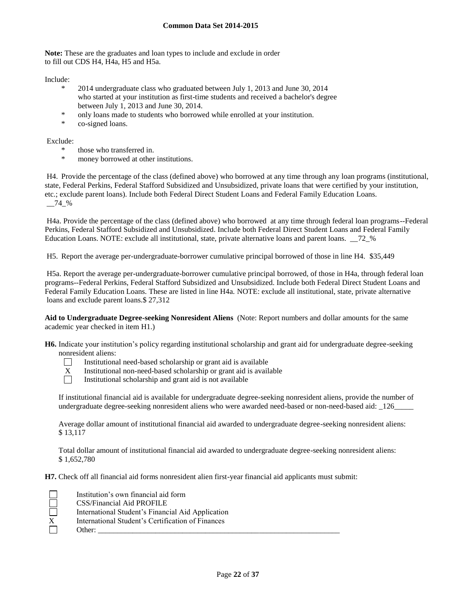**Note:** These are the graduates and loan types to include and exclude in order to fill out CDS H4, H4a, H5 and H5a.

Include:

- \* 2014 undergraduate class who graduated between July 1, 2013 and June 30, 2014 who started at your institution as first-time students and received a bachelor's degree between July 1, 2013 and June 30, 2014.
- \* only loans made to students who borrowed while enrolled at your institution.
- \* co-signed loans.

Exclude:

- \* those who transferred in.
- money borrowed at other institutions.

H4. Provide the percentage of the class (defined above) who borrowed at any time through any loan programs (institutional, state, Federal Perkins, Federal Stafford Subsidized and Unsubsidized, private loans that were certified by your institution, etc.; exclude parent loans). Include both Federal Direct Student Loans and Federal Family Education Loans.  $-74$  %

H4a. Provide the percentage of the class (defined above) who borrowed at any time through federal loan programs--Federal Perkins, Federal Stafford Subsidized and Unsubsidized. Include both Federal Direct Student Loans and Federal Family Education Loans. NOTE: exclude all institutional, state, private alternative loans and parent loans. \_\_72\_%

H5. Report the average per-undergraduate-borrower cumulative principal borrowed of those in line H4. \$35,449

H5a. Report the average per-undergraduate-borrower cumulative principal borrowed, of those in H4a, through federal loan programs--Federal Perkins, Federal Stafford Subsidized and Unsubsidized. Include both Federal Direct Student Loans and Federal Family Education Loans. These are listed in line H4a. NOTE: exclude all institutional, state, private alternative loans and exclude parent loans.\$ 27,312

**Aid to Undergraduate Degree-seeking Nonresident Aliens** (Note: Report numbers and dollar amounts for the same academic year checked in item H1.)

**H6.** Indicate your institution's policy regarding institutional scholarship and grant aid for undergraduate degree-seeking nonresident aliens:



Institutional need-based scholarship or grant aid is available

- $X$  Institutional non-need-based scholarship or grant aid is available<br>Institutional scholarship and grant aid is not available
	- Institutional scholarship and grant aid is not available

If institutional financial aid is available for undergraduate degree-seeking nonresident aliens, provide the number of undergraduate degree-seeking nonresident aliens who were awarded need-based or non-need-based aid: 126

Average dollar amount of institutional financial aid awarded to undergraduate degree-seeking nonresident aliens: \$ 13,117

Total dollar amount of institutional financial aid awarded to undergraduate degree-seeking nonresident aliens: \$ 1,652,780

**H7.** Check off all financial aid forms nonresident alien first-year financial aid applicants must submit:

|              | Institution's own financial aid form              |
|--------------|---------------------------------------------------|
|              | CSS/Financial Aid PROFILE                         |
|              | International Student's Financial Aid Application |
| $\mathbf{X}$ | International Student's Certification of Finances |
|              | Other:                                            |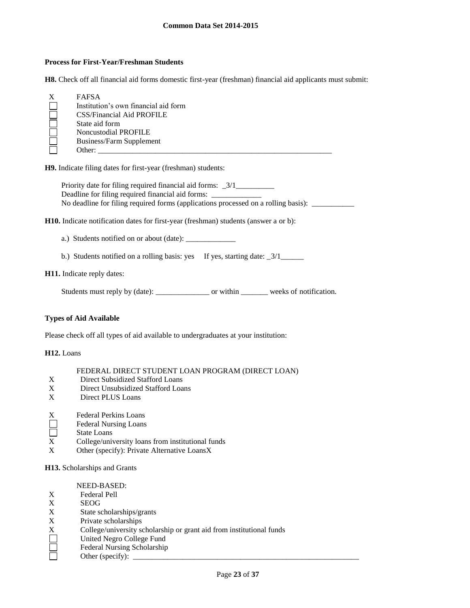#### **Process for First-Year/Freshman Students**

**H8.** Check off all financial aid forms domestic first-year (freshman) financial aid applicants must submit:

| <b>FAFSA</b>                         |
|--------------------------------------|
| Institution's own financial aid form |
| CSS/Financial Aid PROFILE            |
| State aid form                       |
| Noncustodial PROFILE                 |
| <b>Business/Farm Supplement</b>      |
| Other:                               |

**H9.** Indicate filing dates for first-year (freshman) students:

Priority date for filing required financial aid forms: \_3/1\_\_\_\_\_\_\_\_\_\_\_\_\_\_\_\_\_\_\_\_\_ Deadline for filing required financial aid forms: No deadline for filing required forms (applications processed on a rolling basis): \_\_\_\_\_\_\_\_\_

**H10.** Indicate notification dates for first-year (freshman) students (answer a or b):

a.) Students notified on or about (date): \_\_\_\_\_\_\_\_\_\_\_\_\_

b.) Students notified on a rolling basis: yes If yes, starting date:  $\frac{3}{1}$ 

#### **H11.** Indicate reply dates:

Students must reply by (date): \_\_\_\_\_\_\_\_\_\_\_\_\_\_\_\_\_\_\_\_\_\_\_ or within \_\_\_\_\_\_\_\_\_\_\_ weeks of notification.

## **Types of Aid Available**

Please check off all types of aid available to undergraduates at your institution:

**H12.** Loans

|  |  | FEDERAL DIRECT STUDENT LOAN PROGRAM (DIRECT LOAN) |
|--|--|---------------------------------------------------|
|--|--|---------------------------------------------------|

- X Direct Subsidized Stafford Loans<br>X Direct Unsubsidized Stafford Loa
- Direct Unsubsidized Stafford Loans
- X Direct PLUS Loans
- X Federal Perkins Loans
- Г Federal Nursing Loans
- П State Loans
- X College/university loans from institutional funds
- X Other (specify): Private Alternative LoansX

**H13.** Scholarships and Grants

#### NEED-BASED:

- X Federal Pell
- X SEOG
- X State scholarships/grants
- X Private scholarships
- X College/university scholarship or grant aid from institutional funds
- United Negro College Fund
- Federal Nursing Scholarship
- Other (specify):  $\_\_$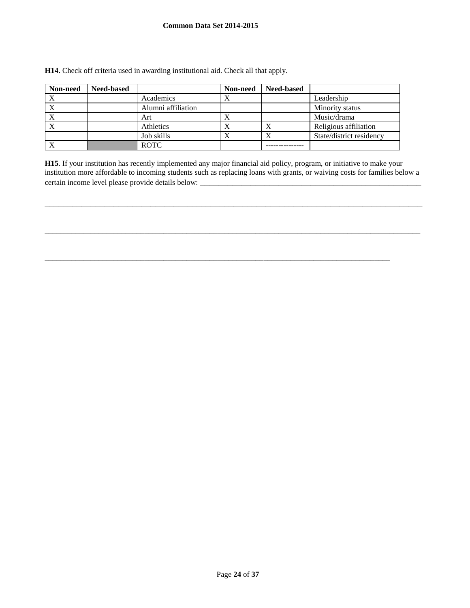| Non-need    | <b>Need-based</b> |                    | Non-need | <b>Need-based</b> |                          |
|-------------|-------------------|--------------------|----------|-------------------|--------------------------|
| $\mathbf v$ |                   | Academics          | X        |                   | Leadership               |
|             |                   | Alumni affiliation |          |                   | Minority status          |
|             |                   | Art                | Х        |                   | Music/drama              |
| X           |                   | Athletics          | Х        |                   | Religious affiliation    |
|             |                   | Job skills         |          |                   | State/district residency |
|             |                   | <b>ROTC</b>        |          |                   |                          |

**H14.** Check off criteria used in awarding institutional aid. Check all that apply.

**H15**. If your institution has recently implemented any major financial aid policy, program, or initiative to make your institution more affordable to incoming students such as replacing loans with grants, or waiving costs for families below a certain income level please provide details below: \_\_\_\_\_\_\_\_\_\_\_\_\_\_\_\_\_\_\_\_\_\_\_\_\_\_\_\_\_

\_\_\_\_\_\_\_\_\_\_\_\_\_\_\_\_\_\_\_\_\_\_\_\_\_\_\_\_\_\_\_\_\_\_\_\_\_\_\_\_\_\_\_\_\_\_\_\_\_\_\_\_\_\_\_\_\_\_\_\_\_\_\_\_\_\_\_\_\_\_\_\_\_\_\_\_\_\_\_\_\_\_

 $\_$  ,  $\_$  ,  $\_$  ,  $\_$  ,  $\_$  ,  $\_$  ,  $\_$  ,  $\_$  ,  $\_$  ,  $\_$  ,  $\_$  ,  $\_$  ,  $\_$  ,  $\_$  ,  $\_$  ,  $\_$  ,  $\_$  ,  $\_$  ,  $\_$  ,  $\_$  ,  $\_$  ,  $\_$  ,  $\_$  ,  $\_$  ,  $\_$  ,  $\_$  ,  $\_$  ,  $\_$  ,  $\_$  ,  $\_$  ,  $\_$  ,  $\_$  ,  $\_$  ,  $\_$  ,  $\_$  ,  $\_$  ,  $\_$  ,

\_\_\_\_\_\_\_\_\_\_\_\_\_\_\_\_\_\_\_\_\_\_\_\_\_\_\_\_\_\_\_\_\_\_\_\_\_\_\_\_\_\_\_\_\_\_\_\_\_\_\_\_\_\_\_\_\_\_\_\_\_\_\_\_\_\_\_\_\_\_\_\_\_\_\_\_\_\_\_\_\_\_\_\_\_\_\_\_\_\_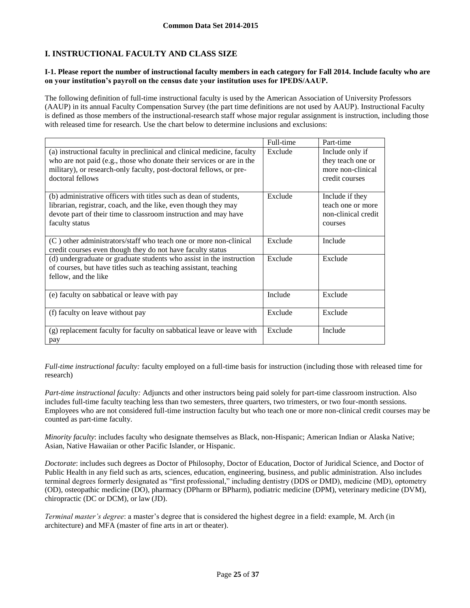## **I. INSTRUCTIONAL FACULTY AND CLASS SIZE**

### **I-1. Please report the number of instructional faculty members in each category for Fall 2014. Include faculty who are on your institution's payroll on the census date your institution uses for IPEDS/AAUP.**

The following definition of full-time instructional faculty is used by the American Association of University Professors (AAUP) in its annual Faculty Compensation Survey (the part time definitions are not used by AAUP). Instructional Faculty is defined as those members of the instructional-research staff whose major regular assignment is instruction, including those with released time for research. Use the chart below to determine inclusions and exclusions:

|                                                                                                                                                                                                                                             | Full-time | Part-time                                                                   |
|---------------------------------------------------------------------------------------------------------------------------------------------------------------------------------------------------------------------------------------------|-----------|-----------------------------------------------------------------------------|
| (a) instructional faculty in preclinical and clinical medicine, faculty<br>who are not paid (e.g., those who donate their services or are in the<br>military), or research-only faculty, post-doctoral fellows, or pre-<br>doctoral fellows | Exclude   | Include only if<br>they teach one or<br>more non-clinical<br>credit courses |
| (b) administrative officers with titles such as dean of students,<br>librarian, registrar, coach, and the like, even though they may<br>devote part of their time to classroom instruction and may have<br>faculty status                   | Exclude   | Include if they<br>teach one or more<br>non-clinical credit<br>courses      |
| $(C)$ other administrators/staff who teach one or more non-clinical<br>credit courses even though they do not have faculty status                                                                                                           | Exclude   | Include                                                                     |
| (d) undergraduate or graduate students who assist in the instruction<br>of courses, but have titles such as teaching assistant, teaching<br>fellow, and the like                                                                            | Exclude   | Exclude                                                                     |
| (e) faculty on sabbatical or leave with pay                                                                                                                                                                                                 | Include   | Exclude                                                                     |
| (f) faculty on leave without pay                                                                                                                                                                                                            | Exclude   | Exclude                                                                     |
| (g) replacement faculty for faculty on sabbatical leave or leave with<br>pay                                                                                                                                                                | Exclude   | Include                                                                     |

*Full-time instructional faculty:* faculty employed on a full-time basis for instruction (including those with released time for research)

*Part-time instructional faculty:* Adjuncts and other instructors being paid solely for part-time classroom instruction. Also includes full-time faculty teaching less than two semesters, three quarters, two trimesters, or two four-month sessions. Employees who are not considered full-time instruction faculty but who teach one or more non-clinical credit courses may be counted as part-time faculty.

*Minority faculty*: includes faculty who designate themselves as Black, non-Hispanic; American Indian or Alaska Native; Asian, Native Hawaiian or other Pacific Islander, or Hispanic.

*Doctorate*: includes such degrees as Doctor of Philosophy, Doctor of Education, Doctor of Juridical Science, and Doctor of Public Health in any field such as arts, sciences, education, engineering, business, and public administration. Also includes terminal degrees formerly designated as "first professional," including dentistry (DDS or DMD), medicine (MD), optometry (OD), osteopathic medicine (DO), pharmacy (DPharm or BPharm), podiatric medicine (DPM), veterinary medicine (DVM), chiropractic (DC or DCM), or law (JD).

*Terminal master's degree*: a master's degree that is considered the highest degree in a field: example, M. Arch (in architecture) and MFA (master of fine arts in art or theater).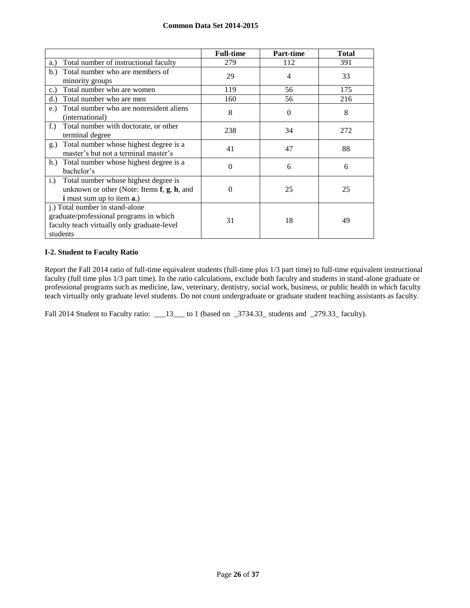|                                                                                                                                                  | <b>Full-time</b> | Part-time | <b>Total</b> |
|--------------------------------------------------------------------------------------------------------------------------------------------------|------------------|-----------|--------------|
| Total number of instructional faculty<br>a.)                                                                                                     | 279              | 112       | 391          |
| Total number who are members of<br>b.)<br>minority groups                                                                                        | 29               | 4         | 33           |
| Total number who are women<br>c.                                                                                                                 | 119              | 56        | 175          |
| Total number who are men<br>d.                                                                                                                   | 160              | 56        | 216          |
| Total number who are nonresident aliens<br>$e$ .<br>(international)                                                                              | 8                | $\Omega$  | 8            |
| $f$ .<br>Total number with doctorate, or other<br>terminal degree                                                                                | 238              | 34        | 272          |
| Total number whose highest degree is a<br>g.)<br>master's but not a terminal master's                                                            | 41               | 47        | 88           |
| h.) Total number whose highest degree is a<br>bachelor's                                                                                         | $\Omega$         | 6         | 6            |
| Total number whose highest degree is<br>$i$ .<br>unknown or other (Note: Items $f$ , $g$ , $h$ , and<br><b>i</b> must sum up to item <b>a</b> .) | 0                | 25        | 25           |
| j.) Total number in stand-alone<br>graduate/professional programs in which<br>faculty teach virtually only graduate-level<br>students            | 31               | 18        | 49           |

## **I-2. Student to Faculty Ratio**

Report the Fall 2014 ratio of full-time equivalent students (full-time plus 1/3 part time) to full-time equivalent instructional faculty (full time plus 1/3 part time). In the ratio calculations, exclude both faculty and students in stand-alone graduate or professional programs such as medicine, law, veterinary, dentistry, social work, business, or public health in which faculty teach virtually only graduate level students. Do not count undergraduate or graduate student teaching assistants as faculty.

Fall 2014 Student to Faculty ratio: \_\_\_13\_\_\_ to 1 (based on \_3734.33\_ students and \_279.33\_ faculty).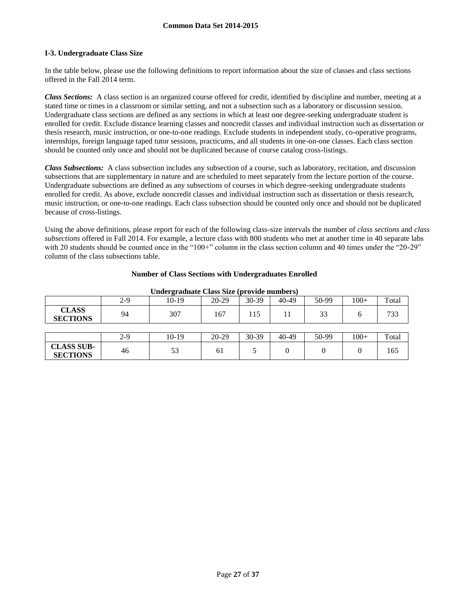### **I-3. Undergraduate Class Size**

In the table below, please use the following definitions to report information about the size of classes and class sections offered in the Fall 2014 term.

*Class Sections:* A class section is an organized course offered for credit, identified by discipline and number, meeting at a stated time or times in a classroom or similar setting, and not a subsection such as a laboratory or discussion session. Undergraduate class sections are defined as any sections in which at least one degree-seeking undergraduate student is enrolled for credit. Exclude distance learning classes and noncredit classes and individual instruction such as dissertation or thesis research, music instruction, or one-to-one readings. Exclude students in independent study, co-operative programs, internships, foreign language taped tutor sessions, practicums, and all students in one-on-one classes. Each class section should be counted only once and should not be duplicated because of course catalog cross-listings.

*Class Subsections:* A class subsection includes any subsection of a course, such as laboratory, recitation, and discussion subsections that are supplementary in nature and are scheduled to meet separately from the lecture portion of the course. Undergraduate subsections are defined as any subsections of courses in which degree-seeking undergraduate students enrolled for credit. As above, exclude noncredit classes and individual instruction such as dissertation or thesis research, music instruction, or one-to-one readings. Each class subsection should be counted only once and should not be duplicated because of cross-listings.

Using the above definitions, please report for each of the following class-size intervals the number of *class sections* and *class subsections* offered in Fall 2014. For example, a lecture class with 800 students who met at another time in 40 separate labs with 20 students should be counted once in the "100+" column in the class section column and 40 times under the "20-29" column of the class subsections table.

| Undergraduate Class Size (provide numbers) |       |       |         |       |           |       |        |       |
|--------------------------------------------|-------|-------|---------|-------|-----------|-------|--------|-------|
|                                            | $2-9$ | 10-19 | $20-29$ | 30-39 | 40-49     | 50-99 | $100+$ | Total |
| <b>CLASS</b><br><b>SECTIONS</b>            | 94    | 307   | 167     | 115   | 11        | 33    | 6      | 733   |
|                                            |       |       |         |       |           |       |        |       |
|                                            | $2-9$ | 10-19 | $20-29$ | 30-39 | $40 - 49$ | 50-99 | $100+$ | Total |
| <b>CLASS SUB-</b><br><b>SECTIONS</b>       | 46    | 53    | 61      |       | 0         |       | 0      | 165   |

#### **Number of Class Sections with Undergraduates Enrolled**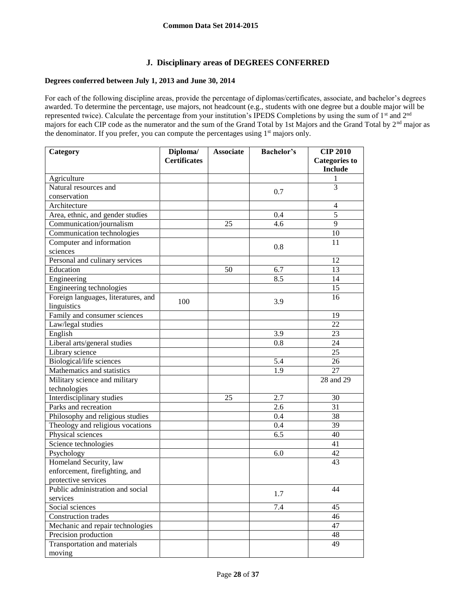## **J. Disciplinary areas of DEGREES CONFERRED**

## **Degrees conferred between July 1, 2013 and June 30, 2014**

For each of the following discipline areas, provide the percentage of diplomas/certificates, associate, and bachelor's degrees awarded. To determine the percentage, use majors, not headcount (e.g., students with one degree but a double major will be represented twice). Calculate the percentage from your institution's IPEDS Completions by using the sum of 1<sup>st</sup> and 2<sup>nd</sup> majors for each CIP code as the numerator and the sum of the Grand Total by 1st Majors and the Grand Total by 2<sup>nd</sup> major as the denominator. If you prefer, you can compute the percentages using 1<sup>st</sup> majors only.

| Category                            | Diploma/            | <b>Associate</b> | <b>Bachelor's</b> | <b>CIP 2010</b>      |
|-------------------------------------|---------------------|------------------|-------------------|----------------------|
|                                     | <b>Certificates</b> |                  |                   | <b>Categories to</b> |
|                                     |                     |                  |                   | <b>Include</b>       |
| Agriculture                         |                     |                  |                   |                      |
| Natural resources and               |                     |                  | 0.7               | 3                    |
| conservation                        |                     |                  |                   |                      |
| Architecture                        |                     |                  |                   | $\overline{4}$       |
| Area, ethnic, and gender studies    |                     |                  | 0.4               | $\overline{5}$       |
| Communication/journalism            |                     | 25               | 4.6               | 9                    |
| Communication technologies          |                     |                  |                   | 10                   |
| Computer and information            |                     |                  | 0.8               | 11                   |
| sciences                            |                     |                  |                   |                      |
| Personal and culinary services      |                     |                  |                   | 12                   |
| Education                           |                     | 50               | 6.7               | 13                   |
| Engineering                         |                     |                  | 8.5               | 14                   |
| Engineering technologies            |                     |                  |                   | 15                   |
| Foreign languages, literatures, and | 100                 |                  | 3.9               | 16                   |
| linguistics                         |                     |                  |                   |                      |
| Family and consumer sciences        |                     |                  |                   | 19                   |
| Law/legal studies                   |                     |                  |                   | 22                   |
| English                             |                     |                  | 3.9               | 23                   |
| Liberal arts/general studies        |                     |                  | 0.8               | 24                   |
| Library science                     |                     |                  |                   | 25                   |
| Biological/life sciences            |                     |                  | 5.4               | 26                   |
| Mathematics and statistics          |                     |                  | $\overline{1.9}$  | 27                   |
| Military science and military       |                     |                  |                   | 28 and 29            |
| technologies                        |                     |                  |                   |                      |
| Interdisciplinary studies           |                     | 25               | 2.7               | 30                   |
| Parks and recreation                |                     |                  | 2.6               | 31                   |
| Philosophy and religious studies    |                     |                  | 0.4               | 38                   |
| Theology and religious vocations    |                     |                  | 0.4               | 39                   |
| Physical sciences                   |                     |                  | 6.5               | 40                   |
| Science technologies                |                     |                  |                   | 41                   |
| Psychology                          |                     |                  | 6.0               | 42                   |
| Homeland Security, law              |                     |                  |                   | 43                   |
| enforcement, firefighting, and      |                     |                  |                   |                      |
| protective services                 |                     |                  |                   |                      |
| Public administration and social    |                     |                  | 1.7               | 44                   |
| services                            |                     |                  |                   |                      |
| Social sciences                     |                     |                  | 7.4               | 45                   |
| Construction trades                 |                     |                  |                   | 46                   |
| Mechanic and repair technologies    |                     |                  |                   | 47                   |
| Precision production                |                     |                  |                   | 48                   |
| Transportation and materials        |                     |                  |                   | 49                   |
| moving                              |                     |                  |                   |                      |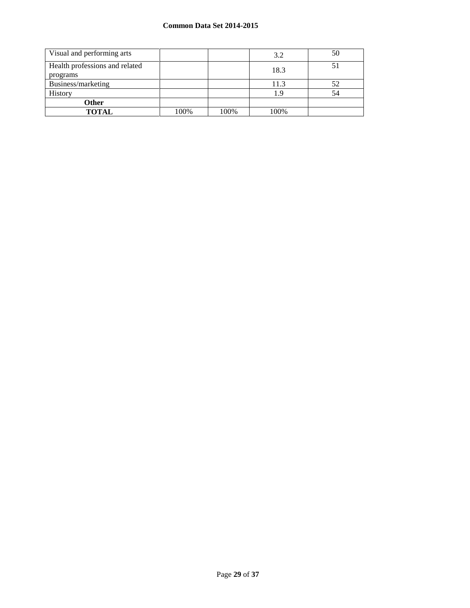| Visual and performing arts                 |      |      | 3.2  | 50 |
|--------------------------------------------|------|------|------|----|
| Health professions and related<br>programs |      |      | 18.3 |    |
| Business/marketing                         |      |      | 11.3 | 52 |
| History                                    |      |      | 1.9  | 54 |
| <b>Other</b>                               |      |      |      |    |
| <b>TOTAL</b>                               | 100% | 100% | 100% |    |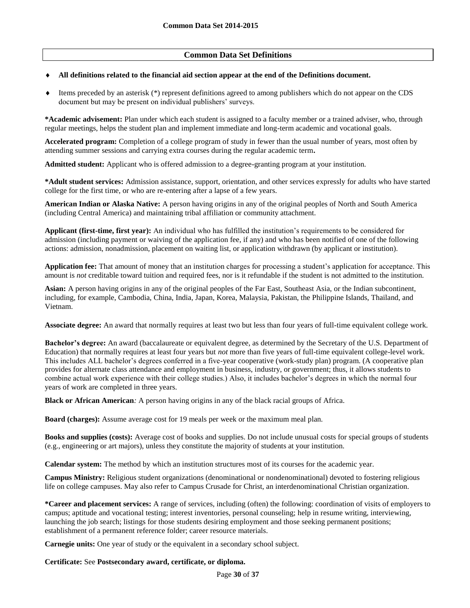## **Common Data Set Definitions**

#### **All definitions related to the financial aid section appear at the end of the Definitions document.**

 Items preceded by an asterisk (\*) represent definitions agreed to among publishers which do not appear on the CDS document but may be present on individual publishers' surveys.

**\*Academic advisement:** Plan under which each student is assigned to a faculty member or a trained adviser, who, through regular meetings, helps the student plan and implement immediate and long-term academic and vocational goals.

**Accelerated program:** Completion of a college program of study in fewer than the usual number of years, most often by attending summer sessions and carrying extra courses during the regular academic term**.**

**Admitted student:** Applicant who is offered admission to a degree-granting program at your institution.

**\*Adult student services:** Admission assistance, support, orientation, and other services expressly for adults who have started college for the first time, or who are re-entering after a lapse of a few years.

**American Indian or Alaska Native:** A person having origins in any of the original peoples of North and South America (including Central America) and maintaining tribal affiliation or community attachment.

**Applicant (first-time, first year):** An individual who has fulfilled the institution's requirements to be considered for admission (including payment or waiving of the application fee, if any) and who has been notified of one of the following actions: admission, nonadmission, placement on waiting list, or application withdrawn (by applicant or institution).

**Application fee:** That amount of money that an institution charges for processing a student's application for acceptance. This amount is *not* creditable toward tuition and required fees, nor is it refundable if the student is not admitted to the institution.

**Asian:** A person having origins in any of the original peoples of the Far East, Southeast Asia, or the Indian subcontinent, including, for example, Cambodia, China, India, Japan, Korea, Malaysia, Pakistan, the Philippine Islands, Thailand, and Vietnam.

**Associate degree:** An award that normally requires at least two but less than four years of full-time equivalent college work.

**Bachelor's degree:** An award (baccalaureate or equivalent degree, as determined by the Secretary of the U.S. Department of Education) that normally requires at least four years but *not* more than five years of full-time equivalent college-level work. This includes ALL bachelor's degrees conferred in a five-year cooperative (work-study plan) program. (A cooperative plan provides for alternate class attendance and employment in business, industry, or government; thus, it allows students to combine actual work experience with their college studies.) Also, it includes bachelor's degrees in which the normal four years of work are completed in three years.

**Black or African American***:* A person having origins in any of the black racial groups of Africa.

**Board (charges):** Assume average cost for 19 meals per week or the maximum meal plan.

**Books and supplies (costs):** Average cost of books and supplies. Do not include unusual costs for special groups of students (e.g., engineering or art majors), unless they constitute the majority of students at your institution.

**Calendar system:** The method by which an institution structures most of its courses for the academic year.

**Campus Ministry:** Religious student organizations (denominational or nondenominational) devoted to fostering religious life on college campuses. May also refer to Campus Crusade for Christ, an interdenominational Christian organization.

**\*Career and placement services:** A range of services, including (often) the following: coordination of visits of employers to campus; aptitude and vocational testing; interest inventories, personal counseling; help in resume writing, interviewing, launching the job search; listings for those students desiring employment and those seeking permanent positions; establishment of a permanent reference folder; career resource materials.

**Carnegie units:** One year of study or the equivalent in a secondary school subject.

## **Certificate:** See **Postsecondary award, certificate, or diploma.**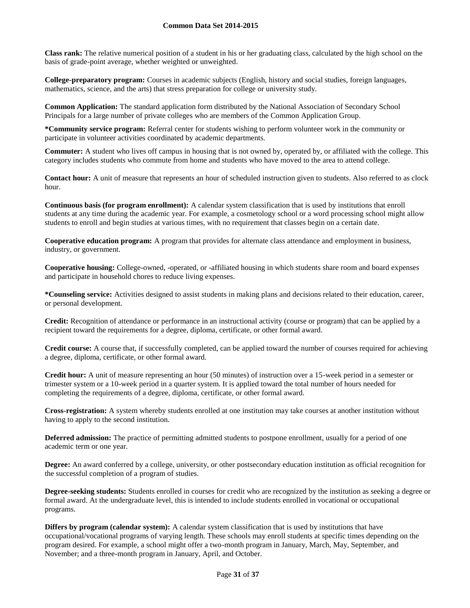**Class rank:** The relative numerical position of a student in his or her graduating class, calculated by the high school on the basis of grade-point average, whether weighted or unweighted.

**College-preparatory program:** Courses in academic subjects (English, history and social studies, foreign languages, mathematics, science, and the arts) that stress preparation for college or university study.

**Common Application:** The standard application form distributed by the National Association of Secondary School Principals for a large number of private colleges who are members of the Common Application Group.

**\*Community service program:** Referral center for students wishing to perform volunteer work in the community or participate in volunteer activities coordinated by academic departments.

**Commuter:** A student who lives off campus in housing that is not owned by, operated by, or affiliated with the college. This category includes students who commute from home and students who have moved to the area to attend college.

**Contact hour:** A unit of measure that represents an hour of scheduled instruction given to students. Also referred to as clock hour.

**Continuous basis (for program enrollment):** A calendar system classification that is used by institutions that enroll students at any time during the academic year. For example, a cosmetology school or a word processing school might allow students to enroll and begin studies at various times, with no requirement that classes begin on a certain date.

**Cooperative education program:** A program that provides for alternate class attendance and employment in business, industry, or government.

**Cooperative housing:** College-owned, -operated, or -affiliated housing in which students share room and board expenses and participate in household chores to reduce living expenses.

**\*Counseling service:** Activities designed to assist students in making plans and decisions related to their education, career, or personal development.

**Credit:** Recognition of attendance or performance in an instructional activity (course or program) that can be applied by a recipient toward the requirements for a degree, diploma, certificate, or other formal award.

**Credit course:** A course that, if successfully completed, can be applied toward the number of courses required for achieving a degree, diploma, certificate, or other formal award.

**Credit hour:** A unit of measure representing an hour (50 minutes) of instruction over a 15-week period in a semester or trimester system or a 10-week period in a quarter system. It is applied toward the total number of hours needed for completing the requirements of a degree, diploma, certificate, or other formal award.

**Cross-registration:** A system whereby students enrolled at one institution may take courses at another institution without having to apply to the second institution.

**Deferred admission:** The practice of permitting admitted students to postpone enrollment, usually for a period of one academic term or one year.

**Degree:** An award conferred by a college, university, or other postsecondary education institution as official recognition for the successful completion of a program of studies.

**Degree-seeking students:** Students enrolled in courses for credit who are recognized by the institution as seeking a degree or formal award. At the undergraduate level, this is intended to include students enrolled in vocational or occupational programs.

**Differs by program (calendar system):** A calendar system classification that is used by institutions that have occupational/vocational programs of varying length. These schools may enroll students at specific times depending on the program desired. For example, a school might offer a two-month program in January, March, May, September, and November; and a three-month program in January, April, and October.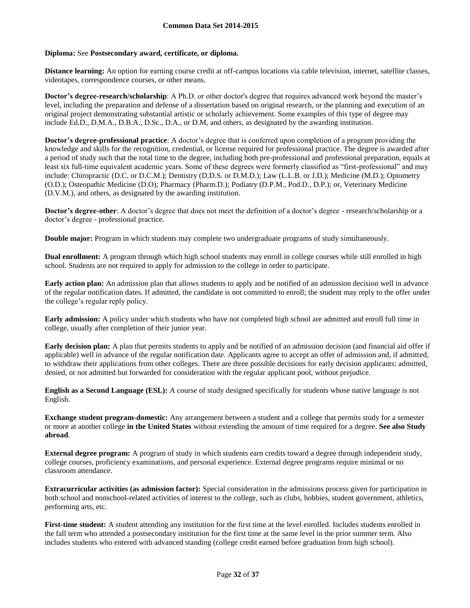## **Diploma:** See **Postsecondary award, certificate, or diploma.**

**Distance learning:** An option for earning course credit at off-campus locations via cable television, internet, satellite classes, videotapes, correspondence courses, or other means.

**Doctor's degree-research/scholarship**: A Ph.D. or other doctor's degree that requires advanced work beyond the master's level, including the preparation and defense of a dissertation based on original research, or the planning and execution of an original project demonstrating substantial artistic or scholarly achievement. Some examples of this type of degree may include Ed.D., D.M.A., D.B.A., D.Sc., D.A., or D.M, and others, as designated by the awarding institution.

**Doctor's degree-professional practice**: A doctor's degree that is conferred upon completion of a program providing the knowledge and skills for the recognition, credential, or license required for professional practice. The degree is awarded after a period of study such that the total time to the degree, including both pre-professional and professional preparation, equals at least six full-time equivalent academic years. Some of these degrees were formerly classified as "first-professional" and may include: Chiropractic (D.C. or D.C.M.); Dentistry (D.D.S. or D.M.D.); Law (L.L.B. or J.D.); Medicine (M.D.); Optometry (O.D.); Osteopathic Medicine (D.O); Pharmacy (Pharm.D.); Podiatry (D.P.M., Pod.D., D.P.); or, Veterinary Medicine (D.V.M.), and others, as designated by the awarding institution.

**Doctor's degree-other**: A doctor's degree that does not meet the definition of a doctor's degree - research/scholarship or a doctor's degree - professional practice.

**Double major:** Program in which students may complete two undergraduate programs of study simultaneously.

**Dual enrollment:** A program through which high school students may enroll in college courses while still enrolled in high school. Students are not required to apply for admission to the college in order to participate.

**Early action plan:** An admission plan that allows students to apply and be notified of an admission decision well in advance of the regular notification dates. If admitted, the candidate is not committed to enroll; the student may reply to the offer under the college's regular reply policy.

**Early admission:** A policy under which students who have not completed high school are admitted and enroll full time in college, usually after completion of their junior year.

**Early decision plan:** A plan that permits students to apply and be notified of an admission decision (and financial aid offer if applicable) well in advance of the regular notification date. Applicants agree to accept an offer of admission and, if admitted, to withdraw their applications from other colleges. There are three possible decisions for early decision applicants: admitted, denied, or not admitted but forwarded for consideration with the regular applicant pool, without prejudice.

**English as a Second Language (ESL):** A course of study designed specifically for students whose native language is not English.

**Exchange student program-domestic:** Any arrangement between a student and a college that permits study for a semester or more at another college **in the United States** without extending the amount of time required for a degree. **See also Study abroad**.

**External degree program:** A program of study in which students earn credits toward a degree through independent study, college courses, proficiency examinations, and personal experience. External degree programs require minimal or no classroom attendance.

**Extracurricular activities (as admission factor):** Special consideration in the admissions process given for participation in both school and nonschool-related activities of interest to the college, such as clubs, hobbies, student government, athletics, performing arts, etc.

**First-time student:** A student attending any institution for the first time at the level enrolled. Includes students enrolled in the fall term who attended a postsecondary institution for the first time at the same level in the prior summer term. Also includes students who entered with advanced standing (college credit earned before graduation from high school).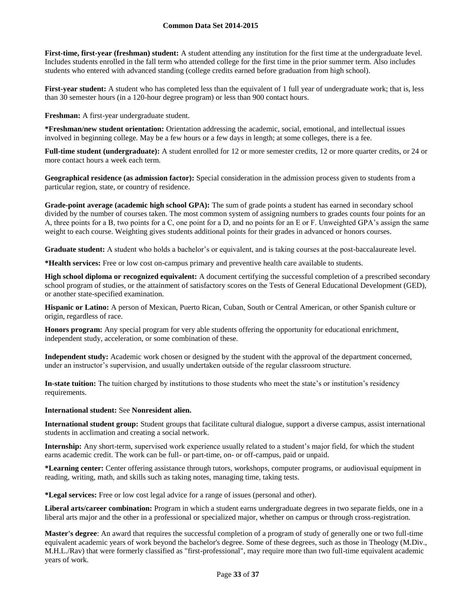**First-time, first-year (freshman) student:** A student attending any institution for the first time at the undergraduate level. Includes students enrolled in the fall term who attended college for the first time in the prior summer term. Also includes students who entered with advanced standing (college credits earned before graduation from high school).

**First-year student:** A student who has completed less than the equivalent of 1 full year of undergraduate work; that is, less than 30 semester hours (in a 120-hour degree program) or less than 900 contact hours.

**Freshman:** A first-year undergraduate student.

**\*Freshman/new student orientation:** Orientation addressing the academic, social, emotional, and intellectual issues involved in beginning college. May be a few hours or a few days in length; at some colleges, there is a fee.

**Full-time student (undergraduate):** A student enrolled for 12 or more semester credits, 12 or more quarter credits, or 24 or more contact hours a week each term.

**Geographical residence (as admission factor):** Special consideration in the admission process given to students from a particular region, state, or country of residence.

**Grade-point average (academic high school GPA):** The sum of grade points a student has earned in secondary school divided by the number of courses taken. The most common system of assigning numbers to grades counts four points for an A, three points for a B, two points for a C, one point for a D, and no points for an E or F. Unweighted GPA's assign the same weight to each course. Weighting gives students additional points for their grades in advanced or honors courses.

Graduate student: A student who holds a bachelor's or equivalent, and is taking courses at the post-baccalaureate level.

**\*Health services:** Free or low cost on-campus primary and preventive health care available to students.

**High school diploma or recognized equivalent:** A document certifying the successful completion of a prescribed secondary school program of studies, or the attainment of satisfactory scores on the Tests of General Educational Development (GED), or another state-specified examination.

**Hispanic or Latino:** A person of Mexican, Puerto Rican, Cuban, South or Central American, or other Spanish culture or origin, regardless of race.

**Honors program:** Any special program for very able students offering the opportunity for educational enrichment, independent study, acceleration, or some combination of these.

**Independent study:** Academic work chosen or designed by the student with the approval of the department concerned, under an instructor's supervision, and usually undertaken outside of the regular classroom structure.

**In-state tuition:** The tuition charged by institutions to those students who meet the state's or institution's residency requirements.

## **International student:** See **Nonresident alien.**

**International student group:** Student groups that facilitate cultural dialogue, support a diverse campus, assist international students in acclimation and creating a social network.

**Internship:** Any short-term, supervised work experience usually related to a student's major field, for which the student earns academic credit. The work can be full- or part-time, on- or off-campus, paid or unpaid.

**\*Learning center:** Center offering assistance through tutors, workshops, computer programs, or audiovisual equipment in reading, writing, math, and skills such as taking notes, managing time, taking tests.

**\*Legal services:** Free or low cost legal advice for a range of issues (personal and other).

**Liberal arts/career combination:** Program in which a student earns undergraduate degrees in two separate fields, one in a liberal arts major and the other in a professional or specialized major, whether on campus or through cross-registration.

**Master's degree**: An award that requires the successful completion of a program of study of generally one or two full-time equivalent academic years of work beyond the bachelor's degree. Some of these degrees, such as those in Theology (M.Div., M.H.L./Rav) that were formerly classified as "first-professional", may require more than two full-time equivalent academic years of work.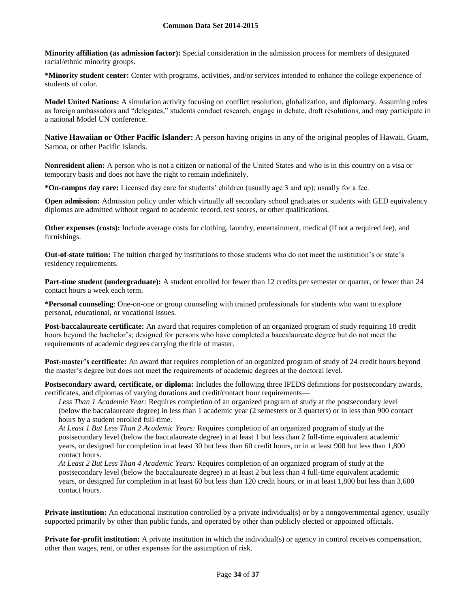**Minority affiliation (as admission factor):** Special consideration in the admission process for members of designated racial/ethnic minority groups.

**\*Minority student center:** Center with programs, activities, and/or services intended to enhance the college experience of students of color.

**Model United Nations:** A simulation activity focusing on conflict resolution, globalization, and diplomacy. Assuming roles as foreign ambassadors and "delegates," students conduct research, engage in debate, draft resolutions, and may participate in a national Model UN conference.

**Native Hawaiian or Other Pacific Islander:** A person having origins in any of the original peoples of Hawaii, Guam, Samoa, or other Pacific Islands.

**Nonresident alien:** A person who is not a citizen or national of the United States and who is in this country on a visa or temporary basis and does not have the right to remain indefinitely.

**\*On-campus day care:** Licensed day care for students' children (usually age 3 and up); usually for a fee.

**Open admission:** Admission policy under which virtually all secondary school graduates or students with GED equivalency diplomas are admitted without regard to academic record, test scores, or other qualifications.

**Other expenses (costs):** Include average costs for clothing, laundry, entertainment, medical (if not a required fee), and furnishings.

**Out-of-state tuition:** The tuition charged by institutions to those students who do not meet the institution's or state's residency requirements.

**Part-time student (undergraduate):** A student enrolled for fewer than 12 credits per semester or quarter, or fewer than 24 contact hours a week each term.

**\*Personal counseling**: One-on-one or group counseling with trained professionals for students who want to explore personal, educational, or vocational issues.

**Post-baccalaureate certificate:** An award that requires completion of an organized program of study requiring 18 credit hours beyond the bachelor's; designed for persons who have completed a baccalaureate degree but do not meet the requirements of academic degrees carrying the title of master.

**Post-master's certificate:** An award that requires completion of an organized program of study of 24 credit hours beyond the master's degree but does not meet the requirements of academic degrees at the doctoral level.

**Postsecondary award, certificate, or diploma:** Includes the following three IPEDS definitions for postsecondary awards, certificates, and diplomas of varying durations and credit/contact hour requirements—

*Less Than 1 Academic Year:* Requires completion of an organized program of study at the postsecondary level (below the baccalaureate degree) in less than 1 academic year (2 semesters or 3 quarters) or in less than 900 contact hours by a student enrolled full-time.

*At Least 1 But Less Than 2 Academic Years:* Requires completion of an organized program of study at the postsecondary level (below the baccalaureate degree) in at least 1 but less than 2 full-time equivalent academic years, or designed for completion in at least 30 but less than 60 credit hours, or in at least 900 but less than 1,800 contact hours.

*At Least 2 But Less Than 4 Academic Years:* Requires completion of an organized program of study at the postsecondary level (below the baccalaureate degree) in at least 2 but less than 4 full-time equivalent academic years, or designed for completion in at least 60 but less than 120 credit hours, or in at least 1,800 but less than 3,600 contact hours.

**Private institution:** An educational institution controlled by a private individual(s) or by a nongovernmental agency, usually supported primarily by other than public funds, and operated by other than publicly elected or appointed officials.

**Private for-profit institution:** A private institution in which the individual(s) or agency in control receives compensation, other than wages, rent, or other expenses for the assumption of risk.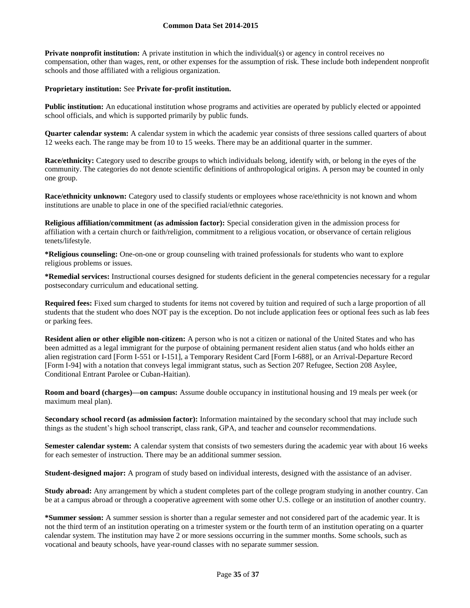**Private nonprofit institution:** A private institution in which the individual(s) or agency in control receives no compensation, other than wages, rent, or other expenses for the assumption of risk. These include both independent nonprofit schools and those affiliated with a religious organization.

#### **Proprietary institution:** See **Private for-profit institution.**

**Public institution:** An educational institution whose programs and activities are operated by publicly elected or appointed school officials, and which is supported primarily by public funds.

**Quarter calendar system:** A calendar system in which the academic year consists of three sessions called quarters of about 12 weeks each. The range may be from 10 to 15 weeks. There may be an additional quarter in the summer.

**Race/ethnicity:** Category used to describe groups to which individuals belong, identify with, or belong in the eyes of the community. The categories do not denote scientific definitions of anthropological origins. A person may be counted in only one group.

**Race/ethnicity unknown:** Category used to classify students or employees whose race/ethnicity is not known and whom institutions are unable to place in one of the specified racial/ethnic categories.

**Religious affiliation/commitment (as admission factor):** Special consideration given in the admission process for affiliation with a certain church or faith/religion, commitment to a religious vocation, or observance of certain religious tenets/lifestyle.

**\*Religious counseling:** One-on-one or group counseling with trained professionals for students who want to explore religious problems or issues.

**\*Remedial services:** Instructional courses designed for students deficient in the general competencies necessary for a regular postsecondary curriculum and educational setting.

**Required fees:** Fixed sum charged to students for items not covered by tuition and required of such a large proportion of all students that the student who does NOT pay is the exception. Do not include application fees or optional fees such as lab fees or parking fees.

**Resident alien or other eligible non-citizen:** A person who is not a citizen or national of the United States and who has been admitted as a legal immigrant for the purpose of obtaining permanent resident alien status (and who holds either an alien registration card [Form I-551 or I-151], a Temporary Resident Card [Form I-688], or an Arrival-Departure Record [Form I-94] with a notation that conveys legal immigrant status, such as Section 207 Refugee, Section 208 Asylee, Conditional Entrant Parolee or Cuban-Haitian).

**Room and board (charges)—on campus:** Assume double occupancy in institutional housing and 19 meals per week (or maximum meal plan).

**Secondary school record (as admission factor):** Information maintained by the secondary school that may include such things as the student's high school transcript, class rank, GPA, and teacher and counselor recommendations.

**Semester calendar system:** A calendar system that consists of two semesters during the academic year with about 16 weeks for each semester of instruction. There may be an additional summer session.

**Student-designed major:** A program of study based on individual interests, designed with the assistance of an adviser.

**Study abroad:** Any arrangement by which a student completes part of the college program studying in another country. Can be at a campus abroad or through a cooperative agreement with some other U.S. college or an institution of another country.

**\*Summer session:** A summer session is shorter than a regular semester and not considered part of the academic year. It is not the third term of an institution operating on a trimester system or the fourth term of an institution operating on a quarter calendar system. The institution may have 2 or more sessions occurring in the summer months. Some schools, such as vocational and beauty schools, have year-round classes with no separate summer session.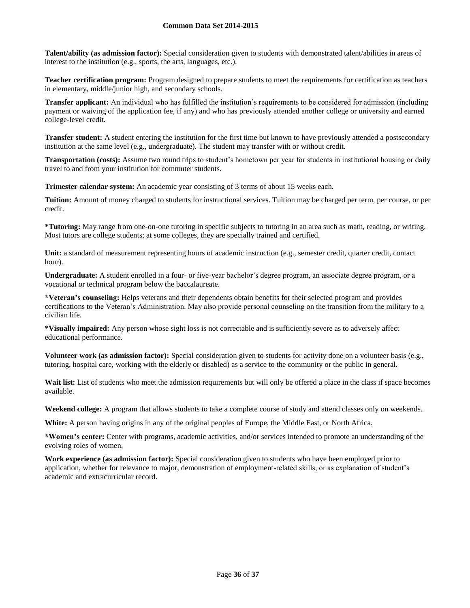**Talent/ability (as admission factor):** Special consideration given to students with demonstrated talent/abilities in areas of interest to the institution (e.g., sports, the arts, languages, etc.).

**Teacher certification program:** Program designed to prepare students to meet the requirements for certification as teachers in elementary, middle/junior high, and secondary schools.

**Transfer applicant:** An individual who has fulfilled the institution's requirements to be considered for admission (including payment or waiving of the application fee, if any) and who has previously attended another college or university and earned college-level credit.

**Transfer student:** A student entering the institution for the first time but known to have previously attended a postsecondary institution at the same level (e.g., undergraduate). The student may transfer with or without credit.

**Transportation (costs):** Assume two round trips to student's hometown per year for students in institutional housing or daily travel to and from your institution for commuter students.

**Trimester calendar system:** An academic year consisting of 3 terms of about 15 weeks each.

**Tuition:** Amount of money charged to students for instructional services. Tuition may be charged per term, per course, or per credit.

**\*Tutoring:** May range from one-on-one tutoring in specific subjects to tutoring in an area such as math, reading, or writing. Most tutors are college students; at some colleges, they are specially trained and certified.

**Unit:** a standard of measurement representing hours of academic instruction (e.g., semester credit, quarter credit, contact hour).

**Undergraduate:** A student enrolled in a four- or five-year bachelor's degree program, an associate degree program, or a vocational or technical program below the baccalaureate.

**\*Veteran's counseling:** Helps veterans and their dependents obtain benefits for their selected program and provides certifications to the Veteran's Administration. May also provide personal counseling on the transition from the military to a civilian life.

**\*Visually impaired:** Any person whose sight loss is not correctable and is sufficiently severe as to adversely affect educational performance.

**Volunteer work (as admission factor):** Special consideration given to students for activity done on a volunteer basis (e.g., tutoring, hospital care, working with the elderly or disabled) as a service to the community or the public in general.

**Wait list:** List of students who meet the admission requirements but will only be offered a place in the class if space becomes available.

**Weekend college:** A program that allows students to take a complete course of study and attend classes only on weekends.

**White:** A person having origins in any of the original peoples of Europe, the Middle East, or North Africa.

**\*Women's center:** Center with programs, academic activities, and/or services intended to promote an understanding of the evolving roles of women.

**Work experience (as admission factor):** Special consideration given to students who have been employed prior to application, whether for relevance to major, demonstration of employment-related skills, or as explanation of student's academic and extracurricular record.